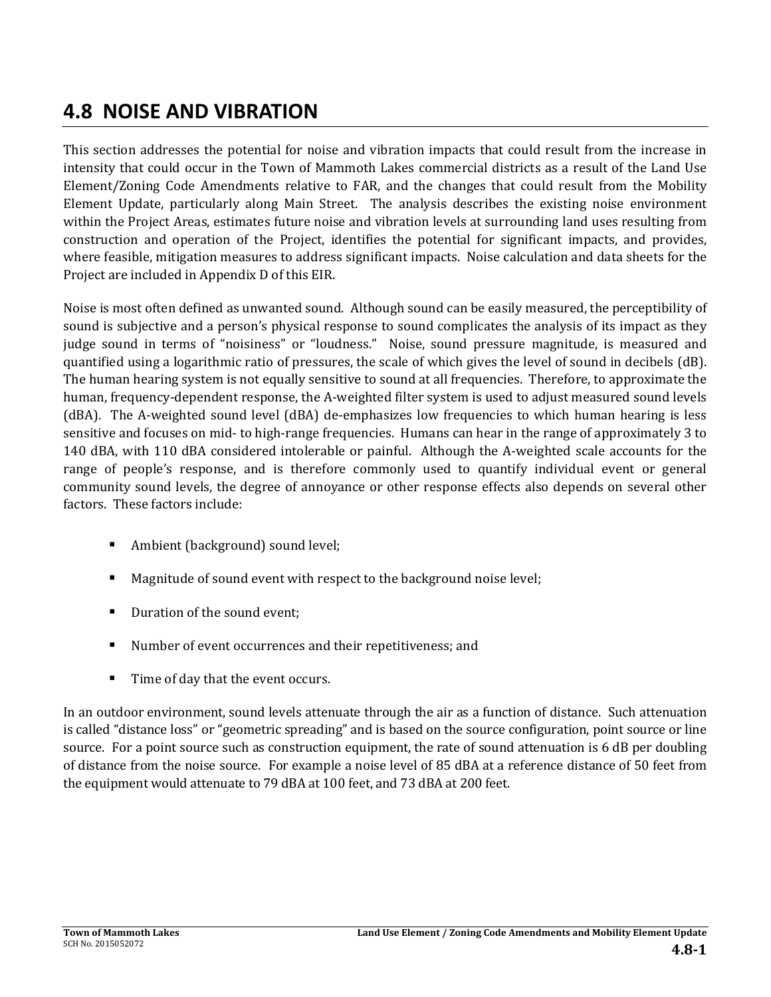# **4.8 NOISE AND VIBRATION**

This section addresses the potential for noise and vibration impacts that could result from the increase in intensity that could occur in the Town of Mammoth Lakes commercial districts as a result of the Land Use Element/Zoning Code Amendments relative to FAR, and the changes that could result from the Mobility Element Update, particularly along Main Street. The analysis describes the existing noise environment within the Project Areas, estimates future noise and vibration levels at surrounding land uses resulting from construction and operation of the Project, identifies the potential for significant impacts, and provides, where feasible, mitigation measures to address significant impacts. Noise calculation and data sheets for the Project are included in Appendix D of this EIR.

Noise is most often defined as unwanted sound. Although sound can be easily measured, the perceptibility of sound is subjective and a person's physical response to sound complicates the analysis of its impact as they judge sound in terms of "noisiness" or "loudness." Noise, sound pressure magnitude, is measured and quantified using a logarithmic ratio of pressures, the scale of which gives the level of sound in decibels  $(dB)$ . The human hearing system is not equally sensitive to sound at all frequencies. Therefore, to approximate the human, frequency-dependent response, the A-weighted filter system is used to adjust measured sound levels (dBA). The A-weighted sound level (dBA) de-emphasizes low frequencies to which human hearing is less sensitive and focuses on mid- to high-range frequencies. Humans can hear in the range of approximately 3 to 140 dBA, with 110 dBA considered intolerable or painful. Although the A-weighted scale accounts for the range of people's response, and is therefore commonly used to quantify individual event or general community sound levels, the degree of annoyance or other response effects also depends on several other factors. These factors include:

- Ambient (background) sound level;
- Magnitude of sound event with respect to the background noise level;
- Duration of the sound event:
- Number of event occurrences and their repetitiveness; and
- Time of day that the event occurs.

In an outdoor environment, sound levels attenuate through the air as a function of distance. Such attenuation is called "distance loss" or "geometric spreading" and is based on the source configuration, point source or line source. For a point source such as construction equipment, the rate of sound attenuation is 6 dB per doubling of distance from the noise source. For example a noise level of 85 dBA at a reference distance of 50 feet from the equipment would attenuate to 79 dBA at 100 feet, and 73 dBA at 200 feet.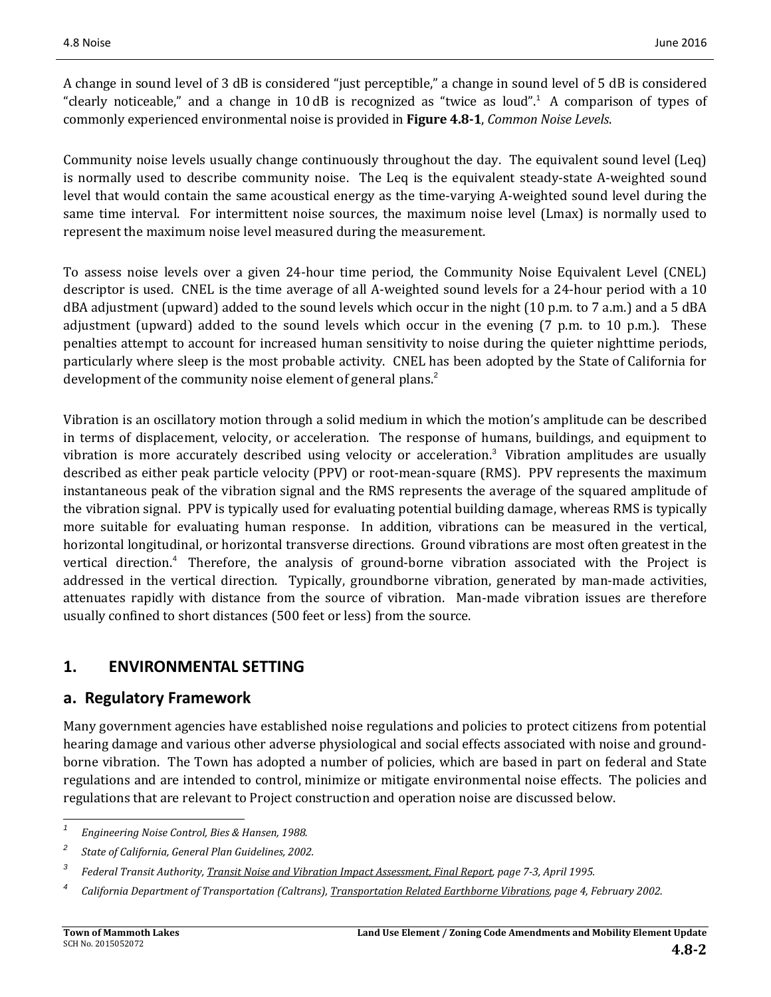A change in sound level of 3 dB is considered "just perceptible," a change in sound level of 5 dB is considered "clearly noticeable," and a change in 10 dB is recognized as "twice as loud".<sup>1</sup> A comparison of types of commonly experienced environmental noise is provided in **Figure 4.8‐1**, *Common Noise Levels*. 

Community noise levels usually change continuously throughout the day. The equivalent sound level (Leq) is normally used to describe community noise. The Leq is the equivalent steady-state A-weighted sound level that would contain the same acoustical energy as the time-varying A-weighted sound level during the same time interval. For intermittent noise sources, the maximum noise level (Lmax) is normally used to represent the maximum noise level measured during the measurement.

To assess noise levels over a given 24-hour time period, the Community Noise Equivalent Level (CNEL) descriptor is used. CNEL is the time average of all A-weighted sound levels for a 24-hour period with a 10 dBA adjustment (upward) added to the sound levels which occur in the night  $(10 \text{ p.m. to } 7 \text{ a.m.})$  and a 5 dBA adjustment (upward) added to the sound levels which occur in the evening  $(7 \text{ p.m. to } 10 \text{ p.m.})$ . These penalties attempt to account for increased human sensitivity to noise during the quieter nighttime periods, particularly where sleep is the most probable activity. CNEL has been adopted by the State of California for development of the community noise element of general plans.<sup>2</sup>

Vibration is an oscillatory motion through a solid medium in which the motion's amplitude can be described in terms of displacement, velocity, or acceleration. The response of humans, buildings, and equipment to vibration is more accurately described using velocity or acceleration.<sup>3</sup> Vibration amplitudes are usually described as either peak particle velocity (PPV) or root-mean-square (RMS). PPV represents the maximum instantaneous peak of the vibration signal and the RMS represents the average of the squared amplitude of the vibration signal. PPV is typically used for evaluating potential building damage, whereas RMS is typically more suitable for evaluating human response. In addition, vibrations can be measured in the vertical, horizontal longitudinal, or horizontal transverse directions. Ground vibrations are most often greatest in the vertical direction.<sup>4</sup> Therefore, the analysis of ground-borne vibration associated with the Project is addressed in the vertical direction. Typically, groundborne vibration, generated by man-made activities, attenuates rapidly with distance from the source of vibration. Man-made vibration issues are therefore usually confined to short distances (500 feet or less) from the source.

## **1. ENVIRONMENTAL SETTING**

## **a. Regulatory Framework**

Many government agencies have established noise regulations and policies to protect citizens from potential hearing damage and various other adverse physiological and social effects associated with noise and groundborne vibration. The Town has adopted a number of policies, which are based in part on federal and State regulations and are intended to control, minimize or mitigate environmental noise effects. The policies and regulations that are relevant to Project construction and operation noise are discussed below.

 *1 Engineering Noise Control, Bies & Hansen, 1988.*

*<sup>2</sup> State of California, General Plan Guidelines, 2002.*

<sup>&</sup>lt;sup>3</sup> Federal Transit Authority, Transit Noise and Vibration Impact Assessment, Final Report, page 7-3, April 1995.

*<sup>4</sup> California Department of Transportation (Caltrans), Transportation Related Earthborne Vibrations, page 4, February 2002.*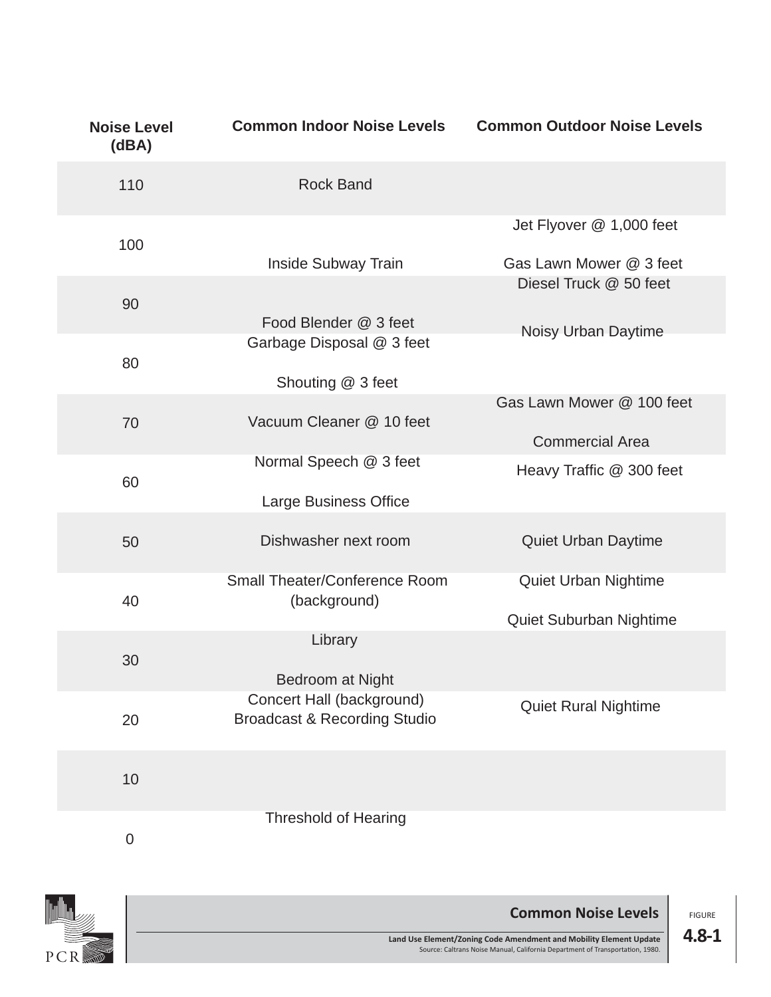| <b>Noise Level</b><br>(dBA) | <b>Common Indoor Noise Levels</b>                  | <b>Common Outdoor Noise Levels</b> |
|-----------------------------|----------------------------------------------------|------------------------------------|
| 110                         | <b>Rock Band</b>                                   |                                    |
| 100                         |                                                    | Jet Flyover @ 1,000 feet           |
|                             | <b>Inside Subway Train</b>                         | Gas Lawn Mower @ 3 feet            |
| 90                          |                                                    | Diesel Truck @ 50 feet             |
|                             | Food Blender @ 3 feet<br>Garbage Disposal @ 3 feet | Noisy Urban Daytime                |
| 80                          |                                                    |                                    |
|                             | Shouting @ 3 feet                                  |                                    |
|                             |                                                    | Gas Lawn Mower @ 100 feet          |
| 70                          | Vacuum Cleaner @ 10 feet                           |                                    |
|                             | Normal Speech @ 3 feet                             | <b>Commercial Area</b>             |
| 60                          |                                                    | Heavy Traffic @ 300 feet           |
|                             | <b>Large Business Office</b>                       |                                    |
|                             |                                                    |                                    |
| 50                          | Dishwasher next room                               | Quiet Urban Daytime                |
|                             | <b>Small Theater/Conference Room</b>               | <b>Quiet Urban Nightime</b>        |
| 40                          | (background)                                       |                                    |
|                             |                                                    | Quiet Suburban Nightime            |
|                             | Library                                            |                                    |
| 30                          | <b>Bedroom at Night</b>                            |                                    |
|                             | Concert Hall (background)                          |                                    |
| 20                          | <b>Broadcast &amp; Recording Studio</b>            | <b>Quiet Rural Nightime</b>        |
|                             |                                                    |                                    |
|                             |                                                    |                                    |
| 10                          |                                                    |                                    |
|                             | <b>Threshold of Hearing</b>                        |                                    |
| $\boldsymbol{0}$            |                                                    |                                    |



**Land Use Element/Zoning Code Amendment and Mobility Element Update | 4.8-1** 

**Common Noise Levels** FIGURE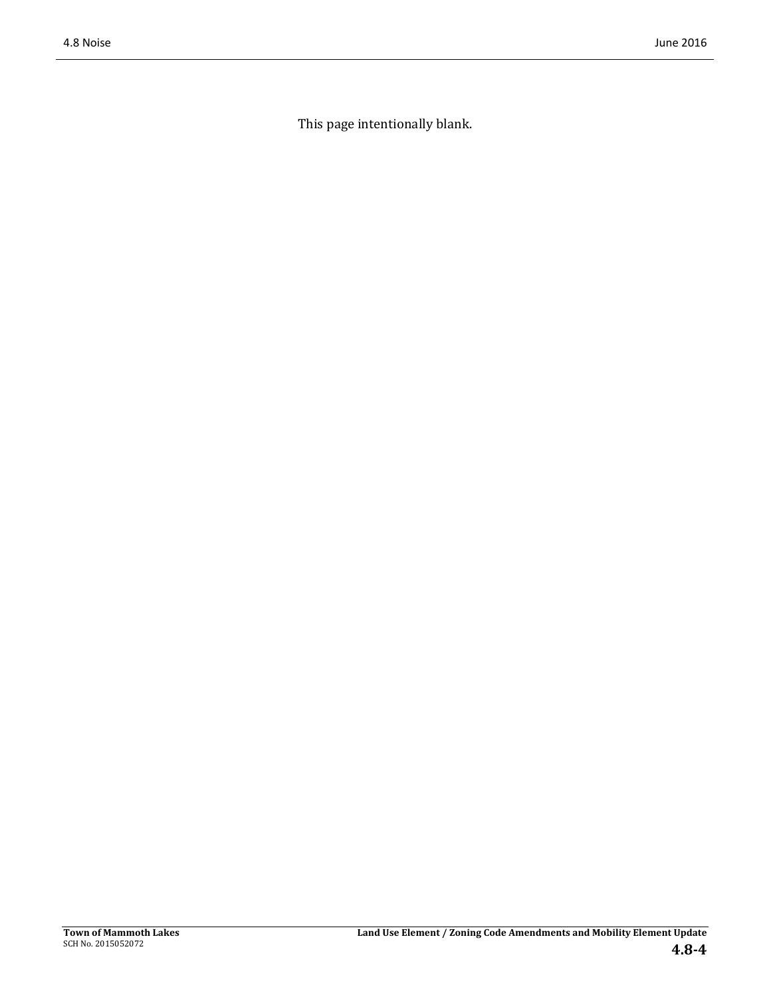This page intentionally blank.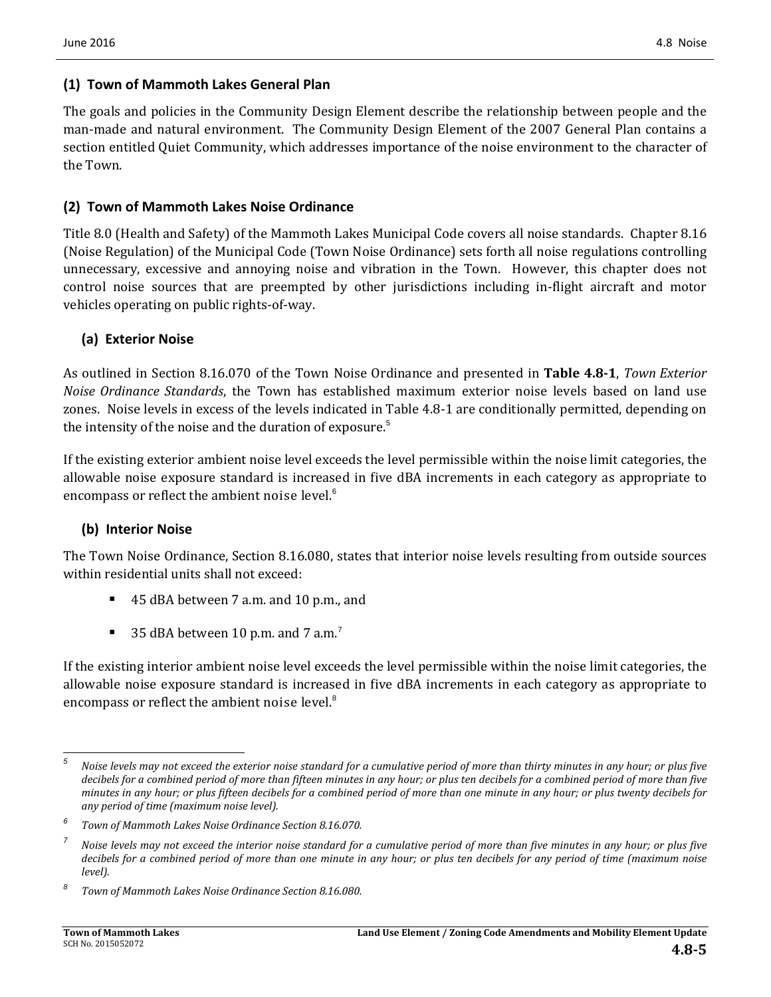### **(1) Town of Mammoth Lakes General Plan**

The goals and policies in the Community Design Element describe the relationship between people and the man-made and natural environment. The Community Design Element of the 2007 General Plan contains a section entitled Quiet Community, which addresses importance of the noise environment to the character of the Town.

## **(2) Town of Mammoth Lakes Noise Ordinance**

Title 8.0 (Health and Safety) of the Mammoth Lakes Municipal Code covers all noise standards. Chapter 8.16 (Noise Regulation) of the Municipal Code (Town Noise Ordinance) sets forth all noise regulations controlling unnecessary, excessive and annoying noise and vibration in the Town. However, this chapter does not control noise sources that are preempted by other jurisdictions including in-flight aircraft and motor vehicles operating on public rights-of-way.

### **(a) Exterior Noise**

As outlined in Section 8.16.070 of the Town Noise Ordinance and presented in Table 4.8-1, *Town Exterior Noise Ordinance Standards*, the Town has established maximum exterior noise levels based on land use zones. Noise levels in excess of the levels indicated in Table 4.8-1 are conditionally permitted, depending on the intensity of the noise and the duration of exposure.<sup>5</sup>

If the existing exterior ambient noise level exceeds the level permissible within the noise limit categories, the allowable noise exposure standard is increased in five dBA increments in each category as appropriate to encompass or reflect the ambient noise level.<sup>6</sup>

## **(b) Interior Noise**

 

The Town Noise Ordinance, Section 8.16.080, states that interior noise levels resulting from outside sources within residential units shall not exceed:

- 45 dBA between 7 a.m. and 10 p.m., and
- 35 dBA between 10 p.m. and 7 a.m.<sup>7</sup>

If the existing interior ambient noise level exceeds the level permissible within the noise limit categories, the allowable noise exposure standard is increased in five dBA increments in each category as appropriate to encompass or reflect the ambient noise level.<sup>8</sup>

<sup>&</sup>lt;sup>5</sup> Noise levels may not exceed the exterior noise standard for a cumulative period of more than thirty minutes in any hour; or plus five decibels for a combined period of more than fifteen minutes in any hour; or plus ten decibels for a combined period of more than five minutes in any hour; or plus fifteen decibels for a combined period of more than one minute in any hour; or plus twenty decibels for *any period of time (maximum noise level).* 

*<sup>6</sup> Town of Mammoth Lakes Noise Ordinance Section 8.16.070.*

Noise levels may not exceed the interior noise standard for a cumulative period of more than five minutes in any hour; or plus five decibels for a combined period of more than one minute in any hour; or plus ten decibels for any period of time (maximum noise  $level$ *)*.

*<sup>8</sup> Town of Mammoth Lakes Noise Ordinance Section 8.16.080.*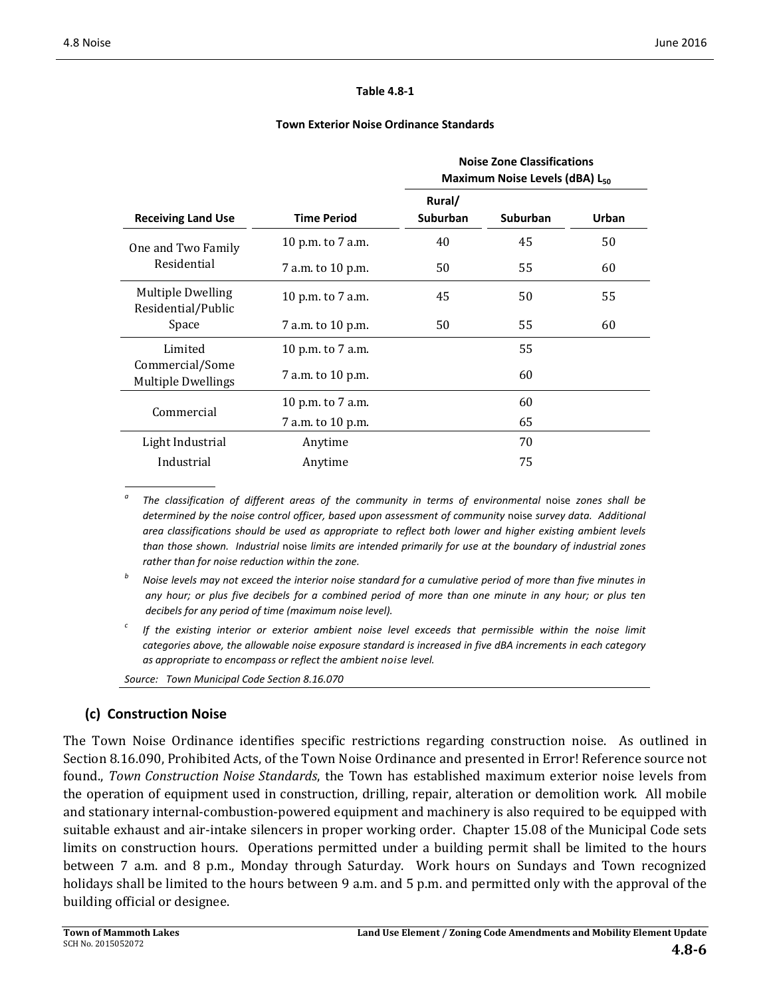#### **Town Exterior Noise Ordinance Standards**

|                                                |                    | <b>Noise Zone Classifications</b><br>Maximum Noise Levels (dBA) L <sub>50</sub> |          |       |  |
|------------------------------------------------|--------------------|---------------------------------------------------------------------------------|----------|-------|--|
|                                                |                    |                                                                                 |          |       |  |
|                                                |                    | Rural/                                                                          |          |       |  |
| <b>Receiving Land Use</b>                      | <b>Time Period</b> | <b>Suburban</b>                                                                 | Suburban | Urban |  |
| One and Two Family                             | 10 p.m. to 7 a.m.  | 40                                                                              | 45       | 50    |  |
| Residential                                    | 7 a.m. to 10 p.m.  | 50                                                                              | 55       | 60    |  |
| <b>Multiple Dwelling</b><br>Residential/Public | 10 p.m. to 7 a.m.  | 45                                                                              | 50       | 55    |  |
| Space                                          | 7 a.m. to 10 p.m.  | 50                                                                              | 55       | 60    |  |
| Limited                                        | 10 p.m. to 7 a.m.  |                                                                                 | 55       |       |  |
| Commercial/Some<br><b>Multiple Dwellings</b>   | 7 a.m. to 10 p.m.  |                                                                                 | 60       |       |  |
| Commercial                                     | 10 p.m. to 7 a.m.  |                                                                                 | 60       |       |  |
|                                                | 7 a.m. to 10 p.m.  |                                                                                 | 65       |       |  |
| Light Industrial                               | Anytime            |                                                                                 | 70       |       |  |
| Industrial                                     | Anytime            |                                                                                 | 75       |       |  |

*<sup>a</sup> The classification of different areas of the community in terms of environmental* noise *zones shall be determined by the noise control officer, based upon assessment of community* noise *survey data. Additional area classifications should be used as appropriate to reflect both lower and higher existing ambient levels* than those shown. Industrial noise limits are intended primarily for use at the boundary of industrial zones *rather than for noise reduction within the zone.*

Noise levels may not exceed the interior noise standard for a cumulative period of more than five minutes in any hour; or plus five decibels for a combined period of more than one minute in any hour; or plus ten *decibels for any period of time (maximum noise level).*

If the existing interior or exterior ambient noise level exceeds that permissible within the noise limit *categories above, the allowable noise exposure standard is increased in five dBA increments in each category as appropriate to encompass or reflect the ambient noise level.*

*Source: Town Municipal Code Section 8.16.070*

## **(c) Construction Noise**

The Town Noise Ordinance identifies specific restrictions regarding construction noise. As outlined in Section 8.16.090, Prohibited Acts, of the Town Noise Ordinance and presented in Error! Reference source not found., *Town Construction Noise Standards*, the Town has established maximum exterior noise levels from the operation of equipment used in construction, drilling, repair, alteration or demolition work. All mobile and stationary internal-combustion-powered equipment and machinery is also required to be equipped with suitable exhaust and air-intake silencers in proper working order. Chapter 15.08 of the Municipal Code sets limits on construction hours. Operations permitted under a building permit shall be limited to the hours between 7 a.m. and 8 p.m., Monday through Saturday. Work hours on Sundays and Town recognized holidays shall be limited to the hours between 9 a.m. and 5 p.m. and permitted only with the approval of the building official or designee.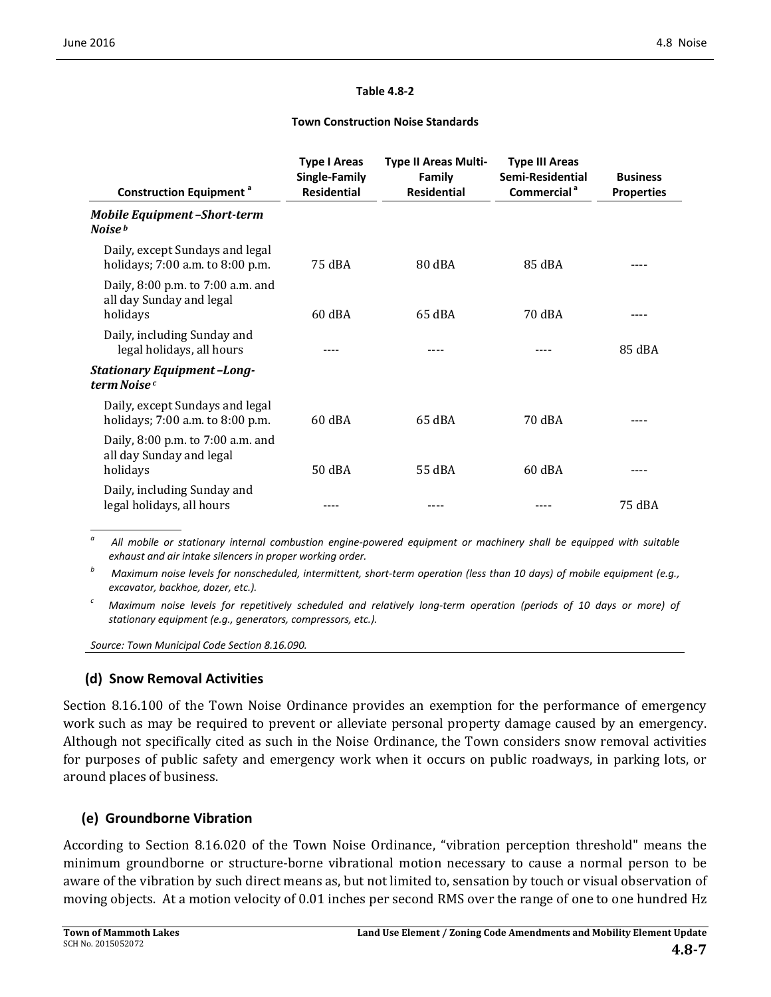#### **Town Construction Noise Standards**

| <b>Construction Equipment<sup>a</sup></b>                                 | <b>Type I Areas</b><br>Single-Family<br><b>Residential</b> | <b>Type II Areas Multi-</b><br>Family<br><b>Residential</b> | <b>Type III Areas</b><br>Semi-Residential<br>Commercial <sup>a</sup> | <b>Business</b><br><b>Properties</b> |
|---------------------------------------------------------------------------|------------------------------------------------------------|-------------------------------------------------------------|----------------------------------------------------------------------|--------------------------------------|
| <b>Mobile Equipment-Short-term</b><br>Noise <sup>b</sup>                  |                                                            |                                                             |                                                                      |                                      |
| Daily, except Sundays and legal<br>holidays; 7:00 a.m. to 8:00 p.m.       | 75 dBA                                                     | 80 dBA                                                      | 85 dBA                                                               |                                      |
| Daily, 8:00 p.m. to 7:00 a.m. and<br>all day Sunday and legal<br>holidays | 60 dBA                                                     | 65 dBA                                                      | 70 dBA                                                               |                                      |
| Daily, including Sunday and<br>legal holidays, all hours                  |                                                            |                                                             |                                                                      | 85 dBA                               |
| <b>Stationary Equipment-Long-</b><br>term Noise <sup>c</sup>              |                                                            |                                                             |                                                                      |                                      |
| Daily, except Sundays and legal<br>holidays; 7:00 a.m. to 8:00 p.m.       | 60 dBA                                                     | 65 dBA                                                      | 70 dBA                                                               |                                      |
| Daily, 8:00 p.m. to 7:00 a.m. and<br>all day Sunday and legal<br>holidays | 50 dBA                                                     | 55 dBA                                                      | 60 dBA                                                               |                                      |
| Daily, including Sunday and<br>legal holidays, all hours                  |                                                            |                                                             |                                                                      | 75 dBA                               |

*a* All mobile or stationary internal combustion engine-powered equipment or machinery shall be equipped with suitable *exhaust and air intake silencers in proper working order.* 

*b* Maximum noise levels for nonscheduled, intermittent, short-term operation (less than 10 days) of mobile equipment (e.g., *excavator, backhoe, dozer, etc.).*

Maximum noise levels for repetitively scheduled and relatively long-term operation (periods of 10 days or more) of *stationary equipment (e.g., generators, compressors, etc.).*

*Source: Town Municipal Code Section 8.16.090.*

### **(d) Snow Removal Activities**

Section 8.16.100 of the Town Noise Ordinance provides an exemption for the performance of emergency work such as may be required to prevent or alleviate personal property damage caused by an emergency. Although not specifically cited as such in the Noise Ordinance, the Town considers snow removal activities for purposes of public safety and emergency work when it occurs on public roadways, in parking lots, or around places of business.

## **(e) Groundborne Vibration**

According to Section 8.16.020 of the Town Noise Ordinance, "vibration perception threshold" means the minimum groundborne or structure-borne vibrational motion necessary to cause a normal person to be aware of the vibration by such direct means as, but not limited to, sensation by touch or visual observation of moving objects. At a motion velocity of 0.01 inches per second RMS over the range of one to one hundred Hz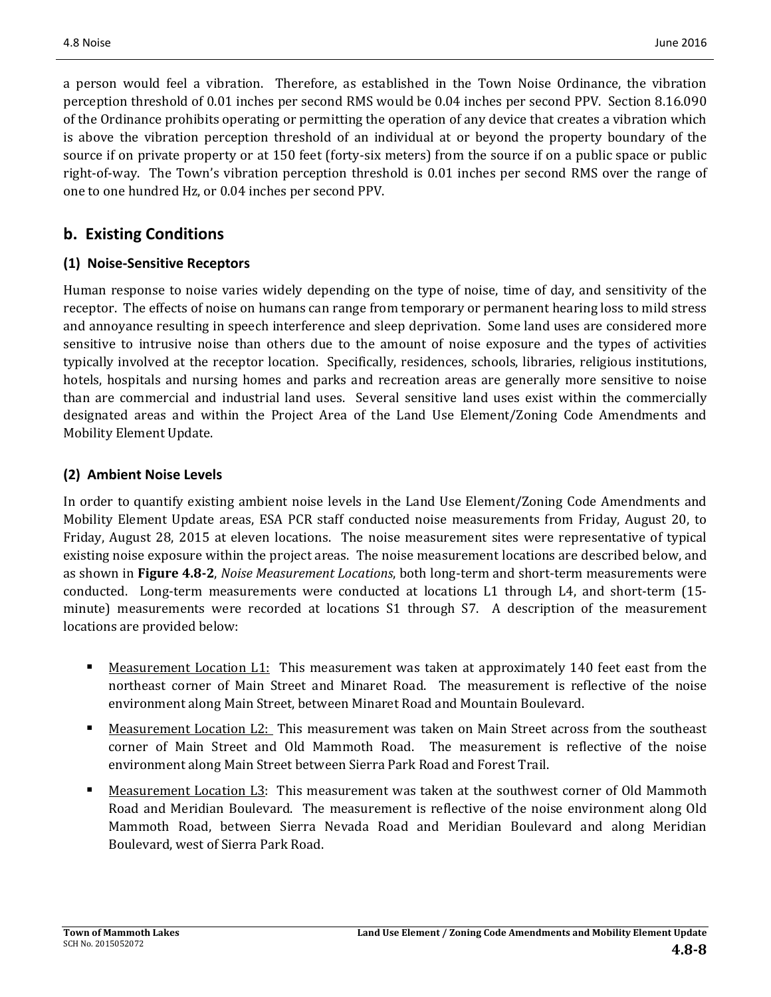a person would feel a vibration. Therefore, as established in the Town Noise Ordinance, the vibration perception threshold of 0.01 inches per second RMS would be 0.04 inches per second PPV. Section 8.16.090 of the Ordinance prohibits operating or permitting the operation of any device that creates a vibration which is above the vibration perception threshold of an individual at or beyond the property boundary of the source if on private property or at 150 feet (forty-six meters) from the source if on a public space or public right-of-way. The Town's vibration perception threshold is 0.01 inches per second RMS over the range of one to one hundred Hz, or 0.04 inches per second PPV.

## **b. Existing Conditions**

## **(1) Noise‐Sensitive Receptors**

Human response to noise varies widely depending on the type of noise, time of day, and sensitivity of the receptor. The effects of noise on humans can range from temporary or permanent hearing loss to mild stress and annoyance resulting in speech interference and sleep deprivation. Some land uses are considered more sensitive to intrusive noise than others due to the amount of noise exposure and the types of activities typically involved at the receptor location. Specifically, residences, schools, libraries, religious institutions, hotels, hospitals and nursing homes and parks and recreation areas are generally more sensitive to noise than are commercial and industrial land uses. Several sensitive land uses exist within the commercially designated areas and within the Project Area of the Land Use Element/Zoning Code Amendments and Mobility Element Update.

## **(2) Ambient Noise Levels**

In order to quantify existing ambient noise levels in the Land Use Element/Zoning Code Amendments and Mobility Element Update areas, ESA PCR staff conducted noise measurements from Friday, August 20, to Friday, August 28, 2015 at eleven locations. The noise measurement sites were representative of typical existing noise exposure within the project areas. The noise measurement locations are described below, and as shown in **Figure 4.8-2**, *Noise Measurement Locations*, both long-term and short-term measurements were conducted. Long-term measurements were conducted at locations L1 through L4, and short-term  $(15$ – minute) measurements were recorded at locations S1 through S7. A description of the measurement locations are provided below:

- **Measurement Location L1:** This measurement was taken at approximately 140 feet east from the northeast corner of Main Street and Minaret Road. The measurement is reflective of the noise environment along Main Street, between Minaret Road and Mountain Boulevard.
- Measurement Location L2: This measurement was taken on Main Street across from the southeast corner of Main Street and Old Mammoth Road. The measurement is reflective of the noise environment along Main Street between Sierra Park Road and Forest Trail.
- Measurement Location L3: This measurement was taken at the southwest corner of Old Mammoth Road and Meridian Boulevard. The measurement is reflective of the noise environment along Old Mammoth Road, between Sierra Nevada Road and Meridian Boulevard and along Meridian Boulevard, west of Sierra Park Road.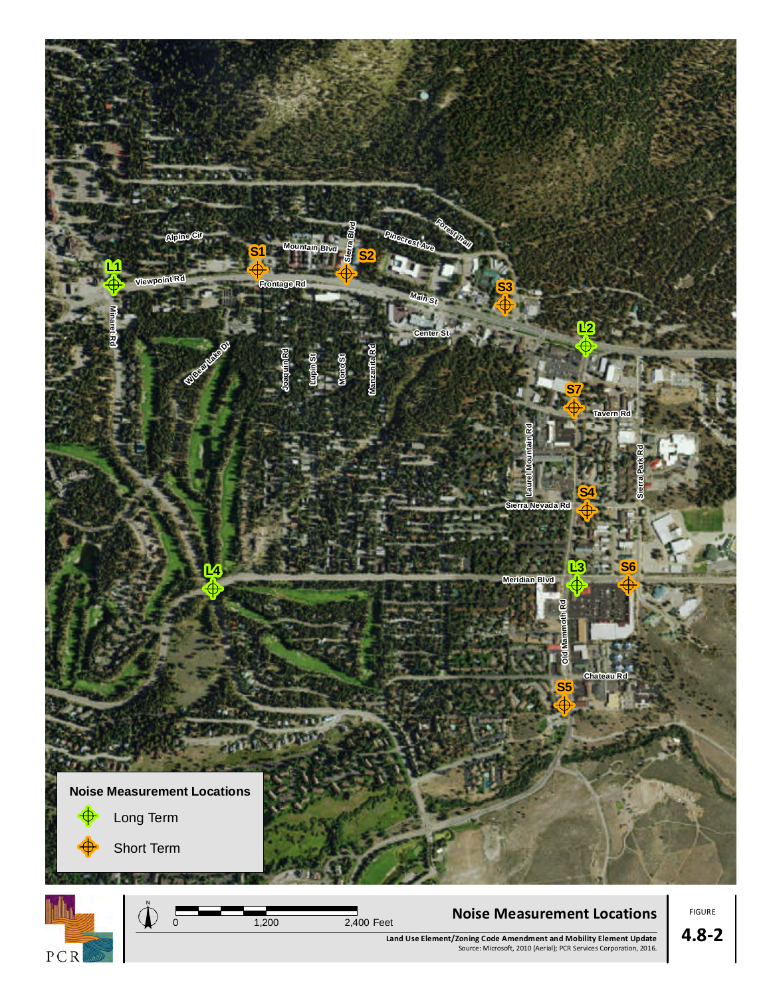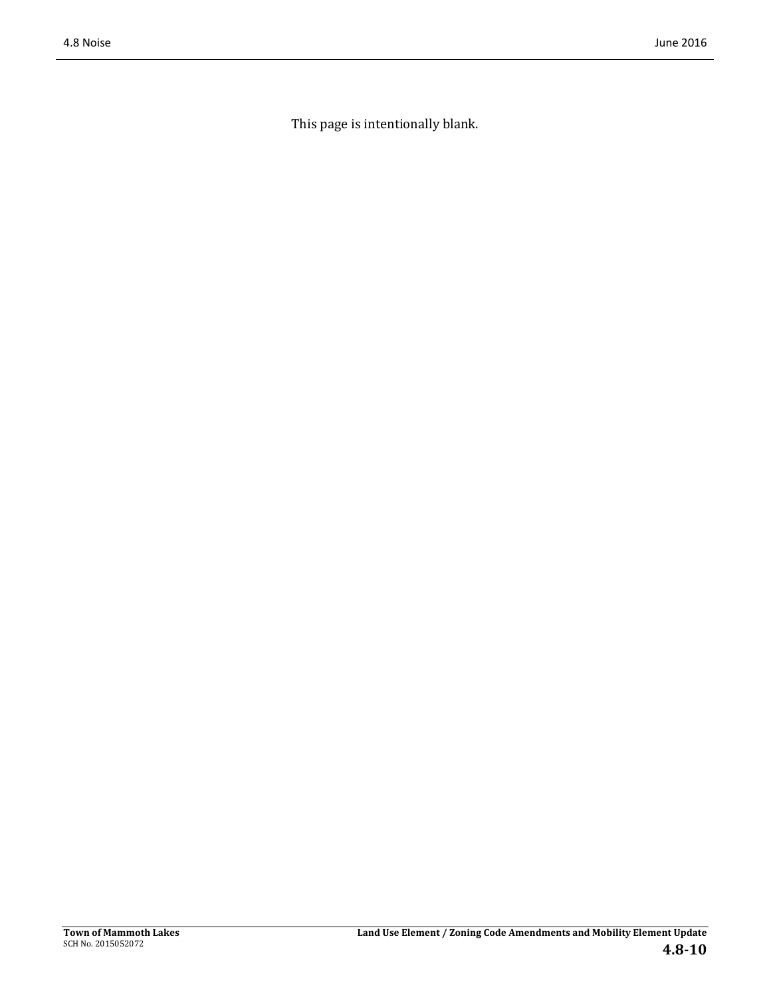This page is intentionally blank.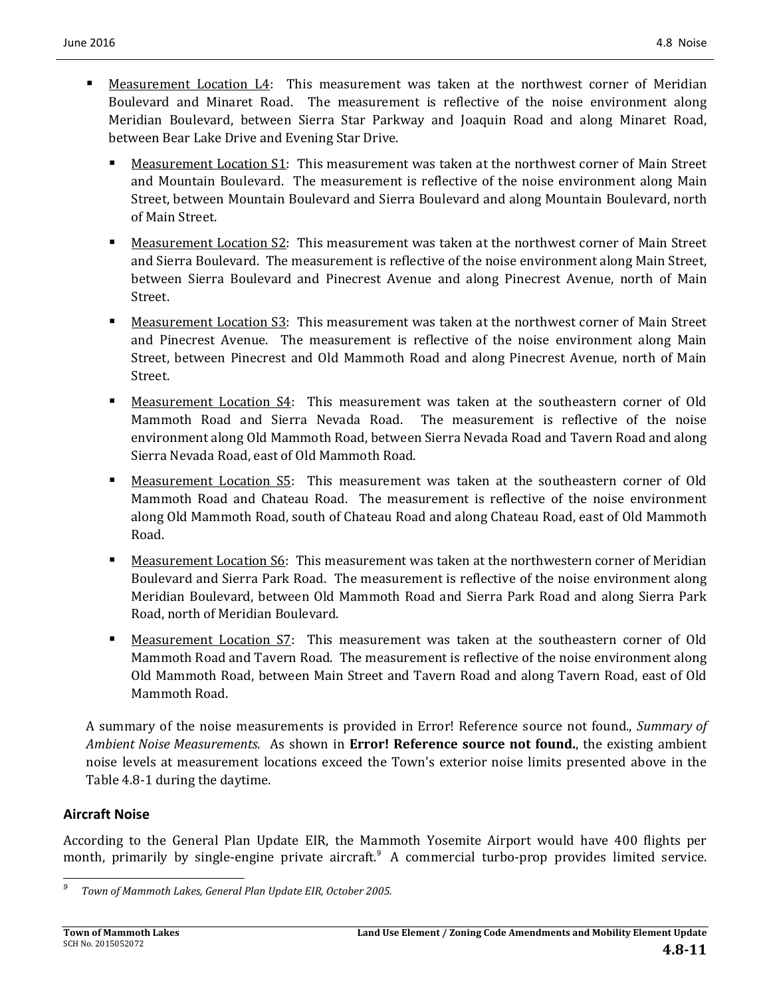- Measurement Location L4: This measurement was taken at the northwest corner of Meridian Boulevard and Minaret Road. The measurement is reflective of the noise environment along Meridian Boulevard, between Sierra Star Parkway and Joaquin Road and along Minaret Road, between Bear Lake Drive and Evening Star Drive.
	- Measurement Location S1: This measurement was taken at the northwest corner of Main Street and Mountain Boulevard. The measurement is reflective of the noise environment along Main Street, between Mountain Boulevard and Sierra Boulevard and along Mountain Boulevard, north of Main Street.
	- Measurement Location S2: This measurement was taken at the northwest corner of Main Street and Sierra Boulevard. The measurement is reflective of the noise environment along Main Street, between Sierra Boulevard and Pinecrest Avenue and along Pinecrest Avenue, north of Main Street.
	- Measurement Location S3: This measurement was taken at the northwest corner of Main Street and Pinecrest Avenue. The measurement is reflective of the noise environment along Main Street, between Pinecrest and Old Mammoth Road and along Pinecrest Avenue, north of Main Street.
	- Measurement Location S4: This measurement was taken at the southeastern corner of Old Mammoth Road and Sierra Nevada Road. The measurement is reflective of the noise environment along Old Mammoth Road, between Sierra Nevada Road and Tavern Road and along Sierra Nevada Road, east of Old Mammoth Road.
	- Measurement Location S5: This measurement was taken at the southeastern corner of Old Mammoth Road and Chateau Road. The measurement is reflective of the noise environment along Old Mammoth Road, south of Chateau Road and along Chateau Road, east of Old Mammoth Road.
	- Measurement Location S6: This measurement was taken at the northwestern corner of Meridian Boulevard and Sierra Park Road. The measurement is reflective of the noise environment along Meridian Boulevard, between Old Mammoth Road and Sierra Park Road and along Sierra Park Road, north of Meridian Boulevard.
	- Measurement Location S7: This measurement was taken at the southeastern corner of Old Mammoth Road and Tavern Road. The measurement is reflective of the noise environment along Old Mammoth Road, between Main Street and Tavern Road and along Tavern Road, east of Old Mammoth Road.

A summary of the noise measurements is provided in Error! Reference source not found., *Summary of Ambient Noise Measurements*. As shown in **Error! Reference source not found.**, the existing ambient noise levels at measurement locations exceed the Town's exterior noise limits presented above in the Table 4.8-1 during the daytime.

## **Aircraft Noise**

According to the General Plan Update EIR, the Mammoth Yosemite Airport would have 400 flights per month, primarily by single-engine private aircraft.<sup>9</sup> A commercial turbo-prop provides limited service.

 *9 Town of Mammoth Lakes, General Plan Update EIR, October 2005.*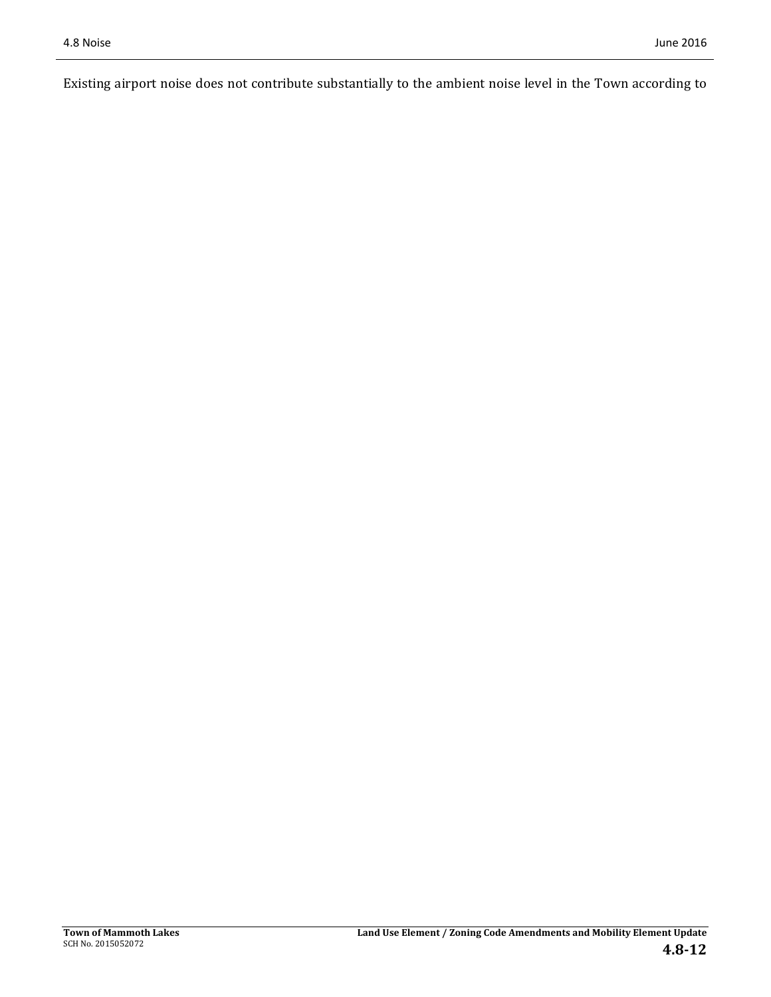Existing airport noise does not contribute substantially to the ambient noise level in the Town according to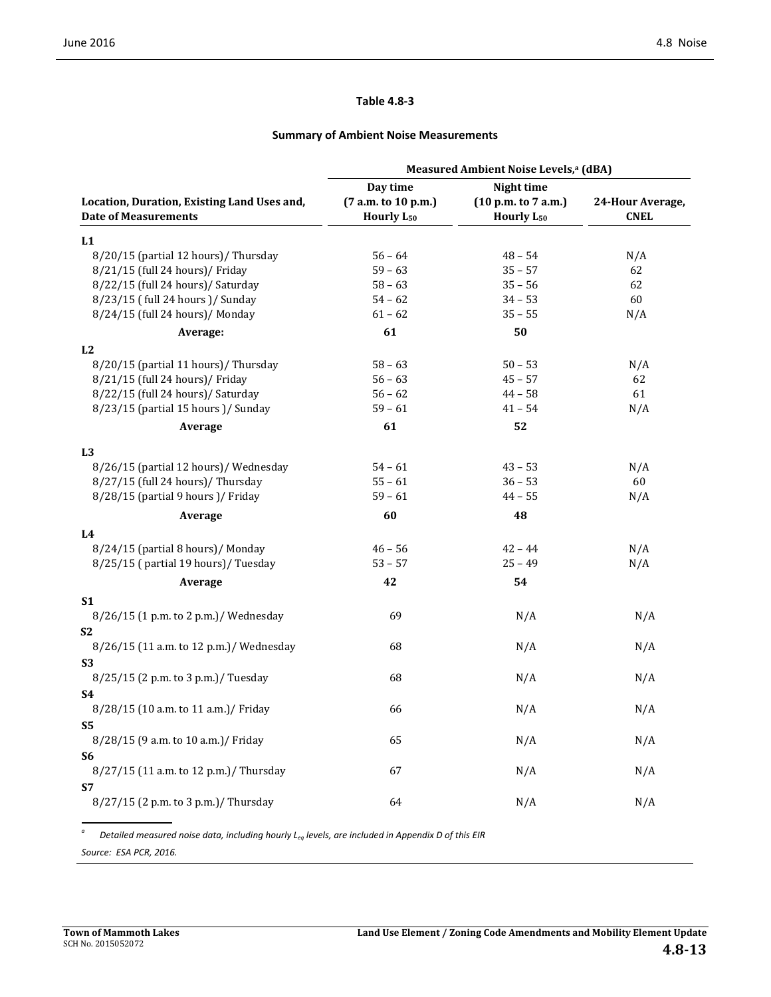#### **Summary of Ambient Noise Measurements**

|                                                                            |                                                      | Measured Ambient Noise Levels, <sup>a</sup> (dBA)      |                                 |
|----------------------------------------------------------------------------|------------------------------------------------------|--------------------------------------------------------|---------------------------------|
| Location, Duration, Existing Land Uses and,<br><b>Date of Measurements</b> | Day time<br>(7 a.m. to 10 p.m.)<br><b>Hourly L50</b> | Night time<br>(10 p.m. to 7 a.m.)<br><b>Hourly L50</b> | 24-Hour Average,<br><b>CNEL</b> |
| L1                                                                         |                                                      |                                                        |                                 |
| 8/20/15 (partial 12 hours)/ Thursday                                       | $56 - 64$                                            | $48 - 54$                                              | N/A                             |
| 8/21/15 (full 24 hours)/ Friday                                            | $59 - 63$                                            | $35 - 57$                                              | 62                              |
| 8/22/15 (full 24 hours)/ Saturday                                          | $58 - 63$                                            | $35 - 56$                                              | 62                              |
| 8/23/15 (full 24 hours)/ Sunday                                            | $54 - 62$                                            | $34 - 53$                                              | 60                              |
| 8/24/15 (full 24 hours)/ Monday                                            | $61 - 62$                                            | $35 - 55$                                              | N/A                             |
| Average:                                                                   | 61                                                   | 50                                                     |                                 |
| L2                                                                         |                                                      |                                                        |                                 |
| 8/20/15 (partial 11 hours)/ Thursday                                       | $58 - 63$                                            | $50 - 53$                                              | N/A                             |
| 8/21/15 (full 24 hours)/ Friday                                            | $56 - 63$                                            | $45 - 57$                                              | 62                              |
| 8/22/15 (full 24 hours)/ Saturday                                          | $56 - 62$                                            | $44 - 58$                                              | 61                              |
| 8/23/15 (partial 15 hours )/ Sunday                                        | $59 - 61$                                            | $41 - 54$                                              | N/A                             |
| Average                                                                    | 61                                                   | 52                                                     |                                 |
| L <sub>3</sub>                                                             |                                                      |                                                        |                                 |
| 8/26/15 (partial 12 hours)/ Wednesday                                      | $54 - 61$                                            | $43 - 53$                                              | N/A                             |
| 8/27/15 (full 24 hours)/ Thursday                                          | $55 - 61$                                            | $36 - 53$                                              | 60                              |
| 8/28/15 (partial 9 hours)/ Friday                                          | $59 - 61$                                            | $44 - 55$                                              | N/A                             |
| Average                                                                    | 60                                                   | 48                                                     |                                 |
| L4                                                                         |                                                      |                                                        |                                 |
| 8/24/15 (partial 8 hours)/ Monday                                          | $46 - 56$                                            | $42 - 44$                                              | N/A                             |
| 8/25/15 (partial 19 hours)/ Tuesday                                        | $53 - 57$                                            | $25 - 49$                                              | N/A                             |
| Average                                                                    | 42                                                   | 54                                                     |                                 |
| <b>S1</b>                                                                  |                                                      |                                                        |                                 |
| 8/26/15 (1 p.m. to 2 p.m.)/ Wednesday                                      | 69                                                   | N/A                                                    | N/A                             |
| S <sub>2</sub>                                                             |                                                      |                                                        |                                 |
| 8/26/15 (11 a.m. to 12 p.m.)/ Wednesday                                    | 68                                                   | N/A                                                    | N/A                             |
| S3                                                                         |                                                      |                                                        |                                 |
| 8/25/15 (2 p.m. to 3 p.m.)/ Tuesday                                        | 68                                                   | N/A                                                    | N/A                             |
| S4                                                                         |                                                      |                                                        |                                 |
| 8/28/15 (10 a.m. to 11 a.m.)/ Friday                                       | 66                                                   | N/A                                                    | N/A                             |
| S5                                                                         |                                                      |                                                        |                                 |
| 8/28/15 (9 a.m. to 10 a.m.)/ Friday                                        | 65                                                   | N/A                                                    | N/A                             |
| S6                                                                         |                                                      |                                                        |                                 |
| 8/27/15 (11 a.m. to 12 p.m.)/ Thursday                                     | 67                                                   | N/A                                                    | N/A                             |
| S7                                                                         |                                                      |                                                        |                                 |
| 8/27/15 (2 p.m. to 3 p.m.)/ Thursday                                       | 64                                                   | N/A                                                    | N/A                             |

*<sup>a</sup> Detailed measured noise data, including hourly Leq levels, are included in Appendix D of this EIR*

*Source: ESA PCR, 2016.*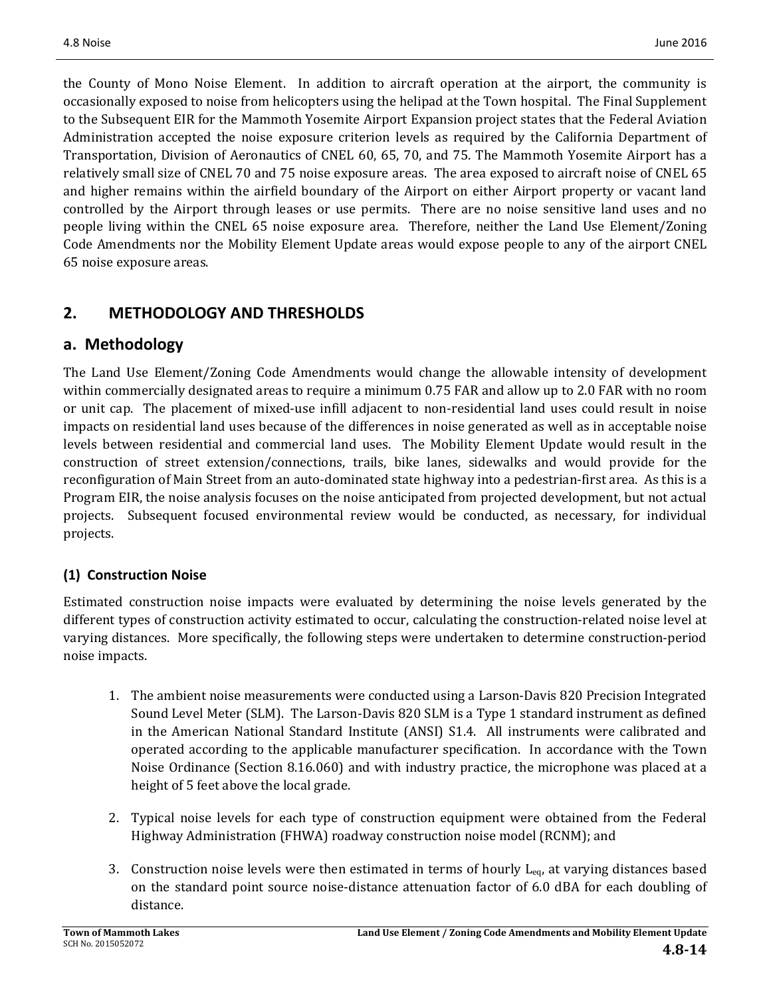the County of Mono Noise Element. In addition to aircraft operation at the airport, the community is occasionally exposed to noise from helicopters using the helipad at the Town hospital. The Final Supplement to the Subsequent EIR for the Mammoth Yosemite Airport Expansion project states that the Federal Aviation Administration accepted the noise exposure criterion levels as required by the California Department of Transportation, Division of Aeronautics of CNEL 60, 65, 70, and 75. The Mammoth Yosemite Airport has a relatively small size of CNEL 70 and 75 noise exposure areas. The area exposed to aircraft noise of CNEL 65 and higher remains within the airfield boundary of the Airport on either Airport property or vacant land controlled by the Airport through leases or use permits. There are no noise sensitive land uses and no people living within the CNEL 65 noise exposure area. Therefore, neither the Land Use Element/Zoning Code Amendments nor the Mobility Element Update areas would expose people to any of the airport CNEL 65 noise exposure areas.

## **2. METHODOLOGY AND THRESHOLDS**

## **a. Methodology**

The Land Use Element/Zoning Code Amendments would change the allowable intensity of development within commercially designated areas to require a minimum 0.75 FAR and allow up to 2.0 FAR with no room or unit cap. The placement of mixed-use infill adjacent to non-residential land uses could result in noise impacts on residential land uses because of the differences in noise generated as well as in acceptable noise levels between residential and commercial land uses. The Mobility Element Update would result in the construction of street extension/connections, trails, bike lanes, sidewalks and would provide for the reconfiguration of Main Street from an auto-dominated state highway into a pedestrian-first area. As this is a Program EIR, the noise analysis focuses on the noise anticipated from projected development, but not actual projects. Subsequent focused environmental review would be conducted, as necessary, for individual projects. 

## **(1) Construction Noise**

Estimated construction noise impacts were evaluated by determining the noise levels generated by the different types of construction activity estimated to occur, calculating the construction-related noise level at varying distances. More specifically, the following steps were undertaken to determine construction-period noise impacts.

- 1. The ambient noise measurements were conducted using a Larson-Davis 820 Precision Integrated Sound Level Meter (SLM). The Larson-Davis 820 SLM is a Type 1 standard instrument as defined in the American National Standard Institute (ANSI) S1.4. All instruments were calibrated and operated according to the applicable manufacturer specification. In accordance with the Town Noise Ordinance (Section 8.16.060) and with industry practice, the microphone was placed at a height of 5 feet above the local grade.
- 2. Typical noise levels for each type of construction equipment were obtained from the Federal Highway Administration (FHWA) roadway construction noise model (RCNM); and
- 3. Construction noise levels were then estimated in terms of hourly  $L_{eq}$ , at varying distances based on the standard point source noise-distance attenuation factor of 6.0 dBA for each doubling of distance.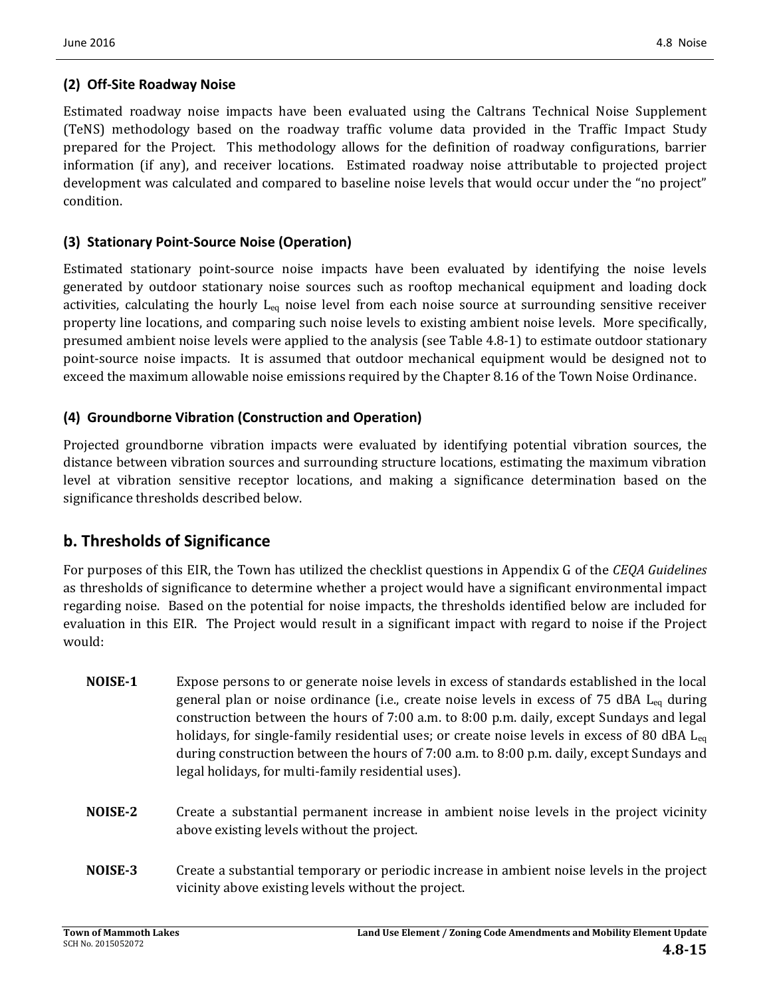## **(2) Off‐Site Roadway Noise**

Estimated roadway noise impacts have been evaluated using the Caltrans Technical Noise Supplement (TeNS) methodology based on the roadway traffic volume data provided in the Traffic Impact Study prepared for the Project. This methodology allows for the definition of roadway configurations, barrier information (if any), and receiver locations. Estimated roadway noise attributable to projected project development was calculated and compared to baseline noise levels that would occur under the "no project" condition. 

## **(3) Stationary Point‐Source Noise (Operation)**

Estimated stationary point-source noise impacts have been evaluated by identifying the noise levels generated by outdoor stationary noise sources such as rooftop mechanical equipment and loading dock activities, calculating the hourly  $L_{eq}$  noise level from each noise source at surrounding sensitive receiver property line locations, and comparing such noise levels to existing ambient noise levels. More specifically, presumed ambient noise levels were applied to the analysis (see Table 4.8-1) to estimate outdoor stationary point-source noise impacts. It is assumed that outdoor mechanical equipment would be designed not to exceed the maximum allowable noise emissions required by the Chapter 8.16 of the Town Noise Ordinance.

## **(4) Groundborne Vibration (Construction and Operation)**

Projected groundborne vibration impacts were evaluated by identifying potential vibration sources, the distance between vibration sources and surrounding structure locations, estimating the maximum vibration level at vibration sensitive receptor locations, and making a significance determination based on the significance thresholds described below.

## **b. Thresholds of Significance**

For purposes of this EIR, the Town has utilized the checklist questions in Appendix G of the *CEQA Guidelines* as thresholds of significance to determine whether a project would have a significant environmental impact regarding noise. Based on the potential for noise impacts, the thresholds identified below are included for evaluation in this EIR. The Project would result in a significant impact with regard to noise if the Project would: 

- **NOISE-1** Expose persons to or generate noise levels in excess of standards established in the local general plan or noise ordinance (i.e., create noise levels in excess of 75 dBA  $L_{eq}$  during construction between the hours of  $7:00$  a.m. to  $8:00$  p.m. daily, except Sundays and legal holidays, for single-family residential uses; or create noise levels in excess of 80 dBA  $L_{eq}$ during construction between the hours of  $7:00$  a.m. to  $8:00$  p.m. daily, except Sundays and legal holidays, for multi-family residential uses).
- **NOISE-2** Create a substantial permanent increase in ambient noise levels in the project vicinity above existing levels without the project.
- **NOISE-3** Create a substantial temporary or periodic increase in ambient noise levels in the project vicinity above existing levels without the project.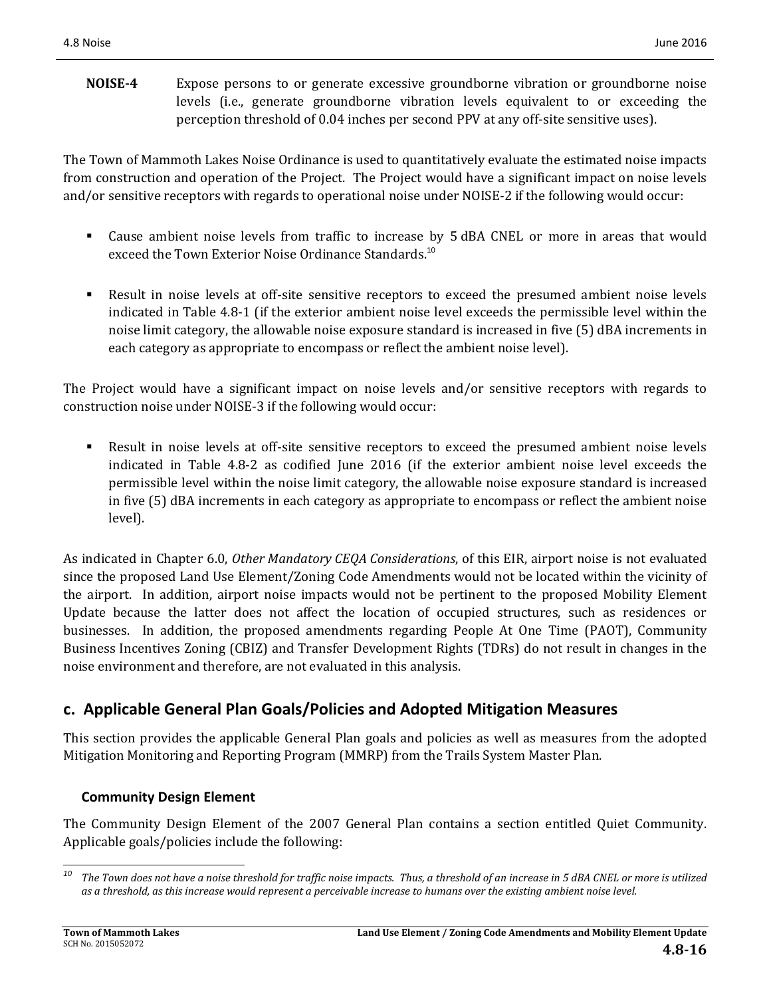**NOISE-4** Expose persons to or generate excessive groundborne vibration or groundborne noise levels (i.e., generate groundborne vibration levels equivalent to or exceeding the perception threshold of 0.04 inches per second PPV at any off-site sensitive uses).

The Town of Mammoth Lakes Noise Ordinance is used to quantitatively evaluate the estimated noise impacts from construction and operation of the Project. The Project would have a significant impact on noise levels and/or sensitive receptors with regards to operational noise under NOISE-2 if the following would occur:

- Cause ambient noise levels from traffic to increase by 5 dBA CNEL or more in areas that would exceed the Town Exterior Noise Ordinance Standards.<sup>10</sup>
- Result in noise levels at off-site sensitive receptors to exceed the presumed ambient noise levels indicated in Table 4.8-1 (if the exterior ambient noise level exceeds the permissible level within the noise limit category, the allowable noise exposure standard is increased in five (5) dBA increments in each category as appropriate to encompass or reflect the ambient noise level).

The Project would have a significant impact on noise levels and/or sensitive receptors with regards to construction noise under NOISE-3 if the following would occur:

■ Result in noise levels at off-site sensitive receptors to exceed the presumed ambient noise levels indicated in Table 4.8-2 as codified June 2016 (if the exterior ambient noise level exceeds the permissible level within the noise limit category, the allowable noise exposure standard is increased in five (5) dBA increments in each category as appropriate to encompass or reflect the ambient noise level). 

As indicated in Chapter 6.0, *Other Mandatory CEQA Considerations*, of this EIR, airport noise is not evaluated since the proposed Land Use Element/Zoning Code Amendments would not be located within the vicinity of the airport. In addition, airport noise impacts would not be pertinent to the proposed Mobility Element Update because the latter does not affect the location of occupied structures, such as residences or businesses. In addition, the proposed amendments regarding People At One Time (PAOT), Community Business Incentives Zoning (CBIZ) and Transfer Development Rights (TDRs) do not result in changes in the noise environment and therefore, are not evaluated in this analysis.

## **c. Applicable General Plan Goals/Policies and Adopted Mitigation Measures**

This section provides the applicable General Plan goals and policies as well as measures from the adopted Mitigation Monitoring and Reporting Program (MMRP) from the Trails System Master Plan.

## **Community Design Element**

 

The Community Design Element of the 2007 General Plan contains a section entitled Quiet Community. Applicable goals/policies include the following:

 $^{10}$  The Town does not have a noise threshold for traffic noise impacts. Thus, a threshold of an increase in 5 dBA CNEL or more is utilized as a threshold, as this increase would represent a perceivable increase to humans over the existing ambient noise level.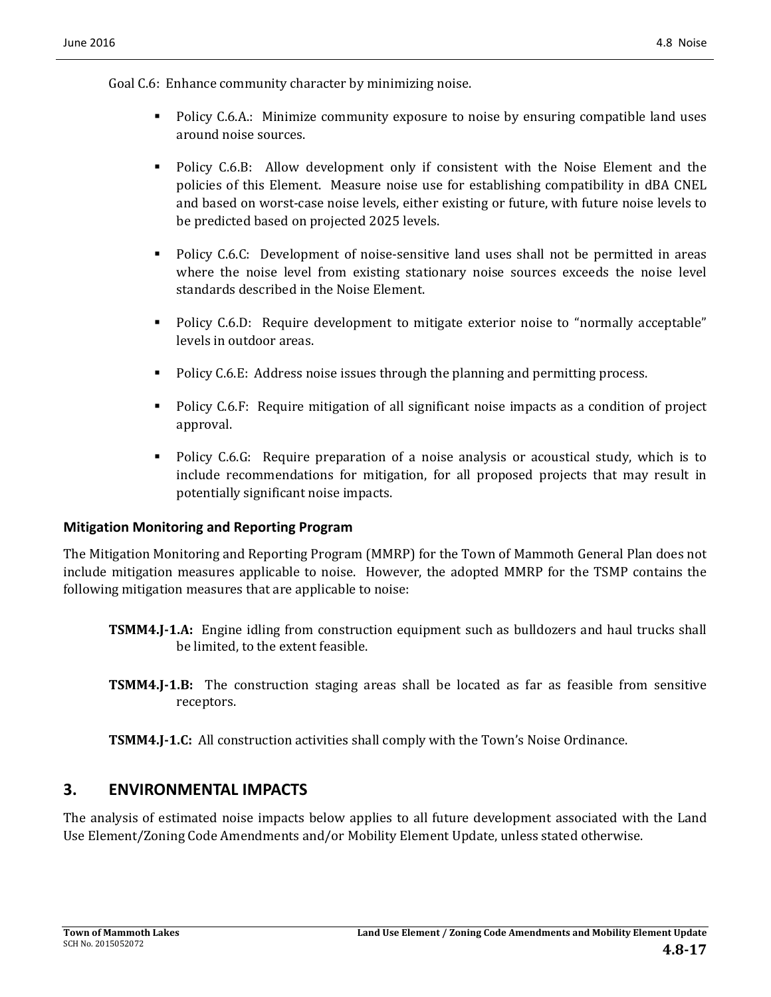Goal C.6: Enhance community character by minimizing noise.

- Policy C.6.A.: Minimize community exposure to noise by ensuring compatible land uses around noise sources.
- **Policy** C.6.B: Allow development only if consistent with the Noise Element and the policies of this Element. Measure noise use for establishing compatibility in dBA CNEL and based on worst-case noise levels, either existing or future, with future noise levels to be predicted based on projected 2025 levels.
- Policy C.6.C: Development of noise-sensitive land uses shall not be permitted in areas where the noise level from existing stationary noise sources exceeds the noise level standards described in the Noise Element.
- **Policy C.6.D:** Require development to mitigate exterior noise to "normally acceptable" levels in outdoor areas.
- Policy C.6.E: Address noise issues through the planning and permitting process.
- Policy C.6.F: Require mitigation of all significant noise impacts as a condition of project approval.
- Policy C.6.G: Require preparation of a noise analysis or acoustical study, which is to include recommendations for mitigation, for all proposed projects that may result in potentially significant noise impacts.

### **Mitigation Monitoring and Reporting Program**

The Mitigation Monitoring and Reporting Program (MMRP) for the Town of Mammoth General Plan does not include mitigation measures applicable to noise. However, the adopted MMRP for the TSMP contains the following mitigation measures that are applicable to noise:

- **TSMM4.J-1.A:** Engine idling from construction equipment such as bulldozers and haul trucks shall be limited, to the extent feasible.
- **TSMM4.J-1.B:** The construction staging areas shall be located as far as feasible from sensitive receptors.

### **TSMM4.J-1.C:** All construction activities shall comply with the Town's Noise Ordinance.

## **3. ENVIRONMENTAL IMPACTS**

The analysis of estimated noise impacts below applies to all future development associated with the Land Use Element/Zoning Code Amendments and/or Mobility Element Update, unless stated otherwise.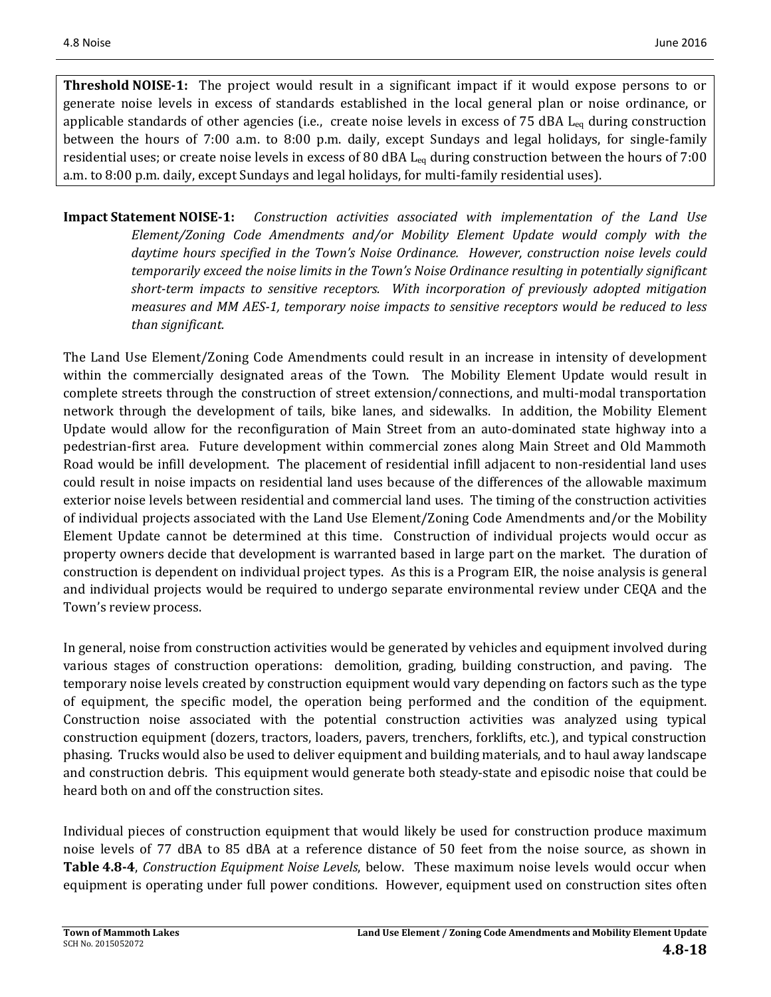**Threshold NOISE-1:** The project would result in a significant impact if it would expose persons to or generate noise levels in excess of standards established in the local general plan or noise ordinance, or applicable standards of other agencies (i.e., create noise levels in excess of 75 dBA  $L_{eq}$  during construction between the hours of  $7:00$  a.m. to  $8:00$  p.m. daily, except Sundays and legal holidays, for single-family residential uses; or create noise levels in excess of 80 dBA L<sub>eq</sub> during construction between the hours of 7:00 a.m. to 8:00 p.m. daily, except Sundays and legal holidays, for multi-family residential uses).

**Impact Statement NOISE‐1:** *Construction activities associated with implementation of the Land Use Element/Zoning Code Amendments and/or Mobility Element Update would comply with the daytime hours specified in the Town's Noise Ordinance. However, construction noise levels could temporarily exceed the noise limits in the Town's Noise Ordinance resulting in potentially significant short‐term impacts to sensitive receptors. With incorporation of previously adopted mitigation measures and MM AES‐1, temporary noise impacts to sensitive receptors would be reduced to less than significant.* 

The Land Use Element/Zoning Code Amendments could result in an increase in intensity of development within the commercially designated areas of the Town. The Mobility Element Update would result in complete streets through the construction of street extension/connections, and multi-modal transportation network through the development of tails, bike lanes, and sidewalks. In addition, the Mobility Element Update would allow for the reconfiguration of Main Street from an auto-dominated state highway into a pedestrian-first area. Future development within commercial zones along Main Street and Old Mammoth Road would be infill development. The placement of residential infill adjacent to non-residential land uses could result in noise impacts on residential land uses because of the differences of the allowable maximum exterior noise levels between residential and commercial land uses. The timing of the construction activities of individual projects associated with the Land Use Element/Zoning Code Amendments and/or the Mobility Element Update cannot be determined at this time. Construction of individual projects would occur as property owners decide that development is warranted based in large part on the market. The duration of construction is dependent on individual project types. As this is a Program EIR, the noise analysis is general and individual projects would be required to undergo separate environmental review under CEQA and the Town's review process.

In general, noise from construction activities would be generated by vehicles and equipment involved during various stages of construction operations: demolition, grading, building construction, and paving. The temporary noise levels created by construction equipment would vary depending on factors such as the type of equipment, the specific model, the operation being performed and the condition of the equipment. Construction noise associated with the potential construction activities was analyzed using typical construction equipment (dozers, tractors, loaders, pavers, trenchers, forklifts, etc.), and typical construction phasing. Trucks would also be used to deliver equipment and building materials, and to haul away landscape and construction debris. This equipment would generate both steady-state and episodic noise that could be heard both on and off the construction sites.

Individual pieces of construction equipment that would likely be used for construction produce maximum noise levels of 77 dBA to 85 dBA at a reference distance of 50 feet from the noise source, as shown in **Table 4.8-4**, *Construction Equipment Noise Levels*, below. These maximum noise levels would occur when equipment is operating under full power conditions. However, equipment used on construction sites often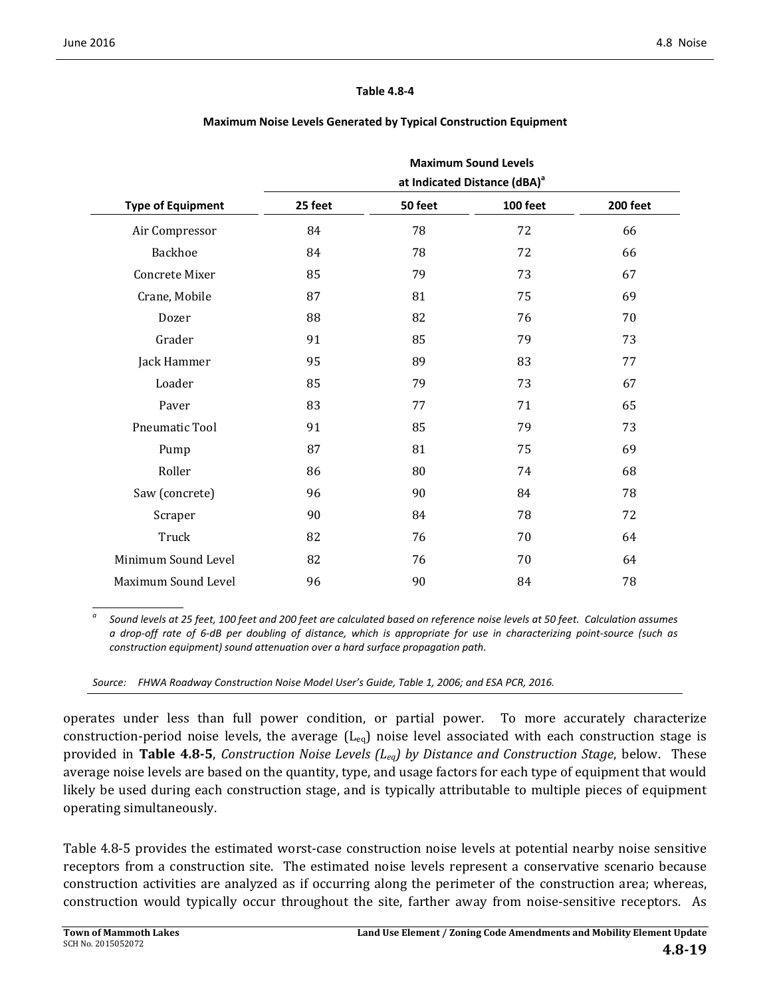#### **Maximum Noise Levels Generated by Typical Construction Equipment**

|                          | <b>Maximum Sound Levels</b> |         |                                          |          |  |  |
|--------------------------|-----------------------------|---------|------------------------------------------|----------|--|--|
|                          |                             |         | at Indicated Distance (dBA) <sup>a</sup> |          |  |  |
| <b>Type of Equipment</b> | 25 feet                     | 50 feet | <b>100 feet</b>                          | 200 feet |  |  |
| Air Compressor           | 84                          | 78      | 72                                       | 66       |  |  |
| Backhoe                  | 84                          | 78      | 72                                       | 66       |  |  |
| Concrete Mixer           | 85                          | 79      | 73                                       | 67       |  |  |
| Crane, Mobile            | 87                          | 81      | 75                                       | 69       |  |  |
| Dozer                    | 88                          | 82      | 76                                       | 70       |  |  |
| Grader                   | 91                          | 85      | 79                                       | 73       |  |  |
| Jack Hammer              | 95                          | 89      | 83                                       | 77       |  |  |
| Loader                   | 85                          | 79      | 73                                       | 67       |  |  |
| Paver                    | 83                          | 77      | 71                                       | 65       |  |  |
| Pneumatic Tool           | 91                          | 85      | 79                                       | 73       |  |  |
| Pump                     | 87                          | 81      | 75                                       | 69       |  |  |
| Roller                   | 86                          | 80      | 74                                       | 68       |  |  |
| Saw (concrete)           | 96                          | 90      | 84                                       | 78       |  |  |
| Scraper                  | 90                          | 84      | 78                                       | 72       |  |  |
| Truck                    | 82                          | 76      | 70                                       | 64       |  |  |
| Minimum Sound Level      | 82                          | 76      | 70                                       | 64       |  |  |
| Maximum Sound Level      | 96                          | 90      | 84                                       | 78       |  |  |

Sound levels at 25 feet, 100 feet and 200 feet are calculated based on reference noise levels at 50 feet. Calculation assumes a drop-off rate of 6-dB per doubling of distance, which is appropriate for use in characterizing point-source (such as *construction equipment) sound attenuation over a hard surface propagation path.*

*Source: FHWA Roadway Construction Noise Model User's Guide, Table 1, 2006; and ESA PCR, 2016.*

operates under less than full power condition, or partial power. To more accurately characterize construction-period noise levels, the average  $(L_{eq})$  noise level associated with each construction stage is provided in **Table 4.8‐5**, *Construction Noise Levels (Leq) by Distance and Construction Stage*, below. These average noise levels are based on the quantity, type, and usage factors for each type of equipment that would likely be used during each construction stage, and is typically attributable to multiple pieces of equipment operating simultaneously.

Table 4.8-5 provides the estimated worst-case construction noise levels at potential nearby noise sensitive receptors from a construction site. The estimated noise levels represent a conservative scenario because construction activities are analyzed as if occurring along the perimeter of the construction area; whereas, construction would typically occur throughout the site, farther away from noise-sensitive receptors. As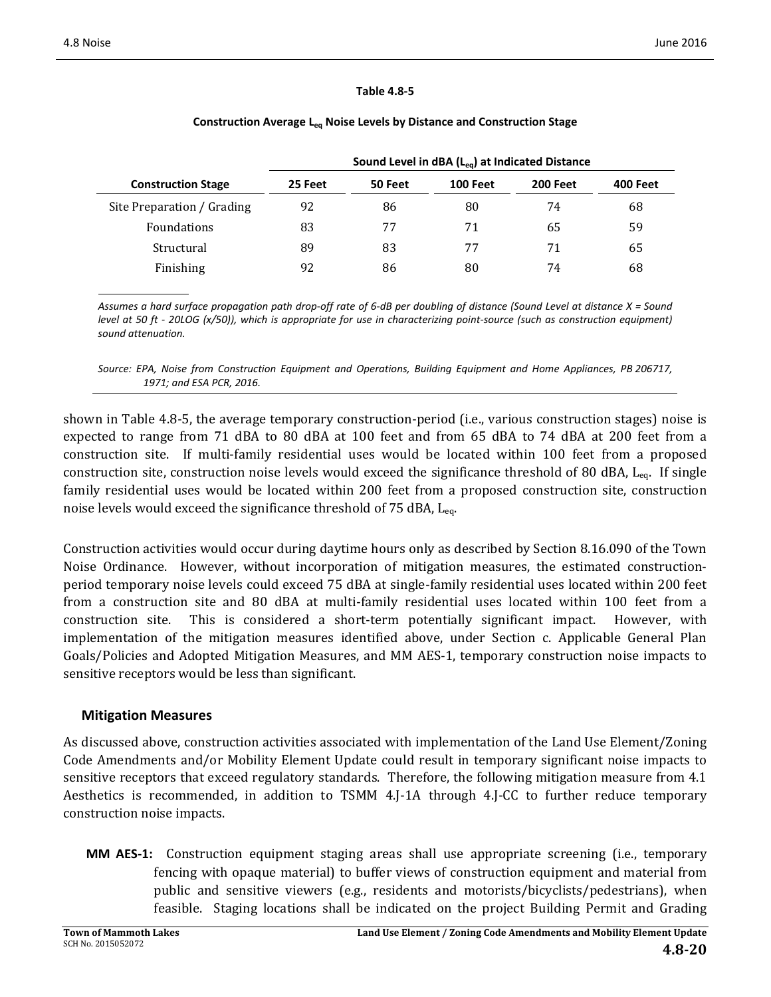|                            | Sound Level in dBA $(L_{eq})$ at Indicated Distance |         |          |                 |                 |  |
|----------------------------|-----------------------------------------------------|---------|----------|-----------------|-----------------|--|
| <b>Construction Stage</b>  | 25 Feet                                             | 50 Feet | 100 Feet | <b>200 Feet</b> | <b>400 Feet</b> |  |
| Site Preparation / Grading | 92                                                  | 86      | 80       | 74              | 68              |  |
| <b>Foundations</b>         | 83                                                  | 77      | 71       | 65              | 59              |  |
| Structural                 | 89                                                  | 83      | 77       | 71              | 65              |  |
| Finishing                  | 92                                                  | 86      | 80       | 74              | 68              |  |

#### **Construction Average Leq Noise Levels by Distance and Construction Stage**

Assumes a hard surface propagation path drop-off rate of 6-dB per doubling of distance (Sound Level at distance X = Sound level at 50 ft - 20LOG  $(x/50)$ ), which is appropriate for use in characterizing point-source (such as construction equipment) *sound attenuation.* 

*Source: EPA, Noise from Construction Equipment and Operations, Building Equipment and Home Appliances, PB 206717, 1971; and ESA PCR, 2016.*

shown in Table 4.8-5, the average temporary construction-period (i.e., various construction stages) noise is expected to range from 71 dBA to 80 dBA at 100 feet and from 65 dBA to 74 dBA at 200 feet from a construction site. If multi-family residential uses would be located within 100 feet from a proposed construction site, construction noise levels would exceed the significance threshold of 80 dBA,  $L_{eq}$ . If single family residential uses would be located within 200 feet from a proposed construction site, construction noise levels would exceed the significance threshold of 75 dBA,  $L_{eq}$ .

Construction activities would occur during daytime hours only as described by Section 8.16.090 of the Town Noise Ordinance. However, without incorporation of mitigation measures, the estimated constructionperiod temporary noise levels could exceed 75 dBA at single-family residential uses located within 200 feet from a construction site and 80 dBA at multi-family residential uses located within 100 feet from a construction site. This is considered a short-term potentially significant impact. However, with implementation of the mitigation measures identified above, under Section c. Applicable General Plan Goals/Policies and Adopted Mitigation Measures, and MM AES-1, temporary construction noise impacts to sensitive receptors would be less than significant.

## **Mitigation Measures**

As discussed above, construction activities associated with implementation of the Land Use Element/Zoning Code Amendments and/or Mobility Element Update could result in temporary significant noise impacts to sensitive receptors that exceed regulatory standards. Therefore, the following mitigation measure from 4.1 Aesthetics is recommended, in addition to TSMM 4.J-1A through 4.J-CC to further reduce temporary construction noise impacts.

**MM AES-1:** Construction equipment staging areas shall use appropriate screening (i.e., temporary fencing with opaque material) to buffer views of construction equipment and material from public and sensitive viewers (e.g., residents and motorists/bicyclists/pedestrians), when feasible. Staging locations shall be indicated on the project Building Permit and Grading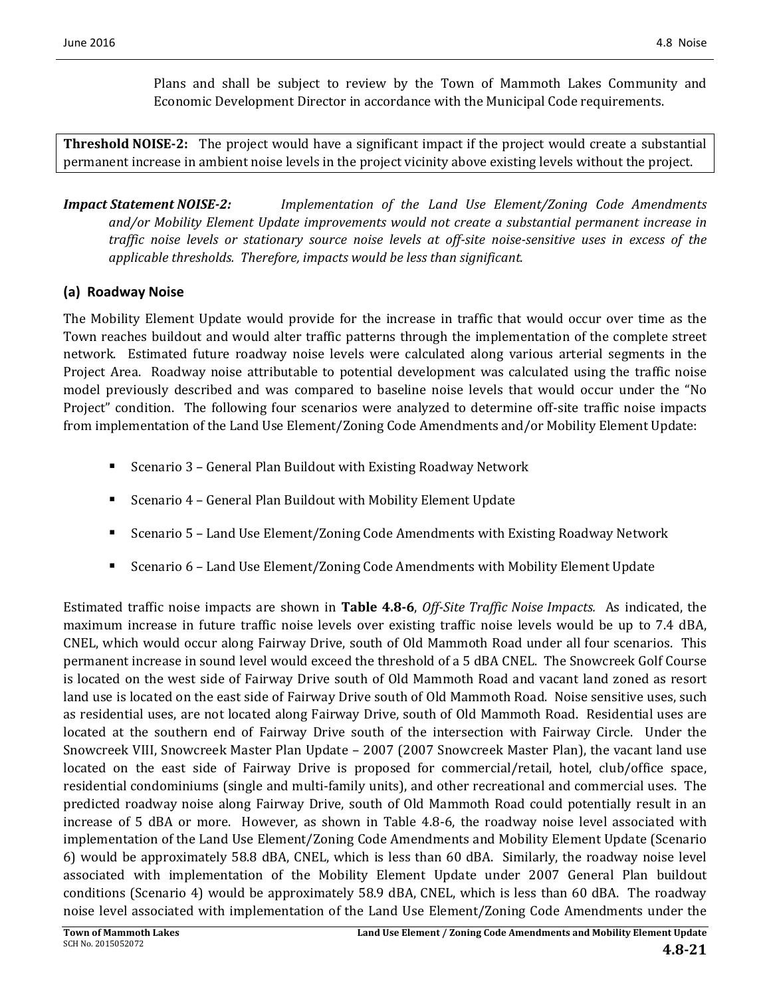Plans and shall be subject to review by the Town of Mammoth Lakes Community and Economic Development Director in accordance with the Municipal Code requirements.

**Threshold NOISE-2:** The project would have a significant impact if the project would create a substantial permanent increase in ambient noise levels in the project vicinity above existing levels without the project.

*Impact Statement NOISE‐2: Implementation of the Land Use Element/Zoning Code Amendments and/or Mobility Element Update improvements would not create a substantial permanent increase in* traffic noise levels or stationary source noise levels at off-site noise-sensitive uses in excess of the *applicable thresholds. Therefore, impacts would be less than significant.* 

## **(a) Roadway Noise**

The Mobility Element Update would provide for the increase in traffic that would occur over time as the Town reaches buildout and would alter traffic patterns through the implementation of the complete street network. Estimated future roadway noise levels were calculated along various arterial segments in the Project Area. Roadway noise attributable to potential development was calculated using the traffic noise model previously described and was compared to baseline noise levels that would occur under the "No Project" condition. The following four scenarios were analyzed to determine off-site traffic noise impacts from implementation of the Land Use Element/Zoning Code Amendments and/or Mobility Element Update:

- Scenario  $3$  General Plan Buildout with Existing Roadway Network
- Scenario 4 General Plan Buildout with Mobility Element Update
- Scenario 5 Land Use Element/Zoning Code Amendments with Existing Roadway Network
- Scenario 6 Land Use Element/Zoning Code Amendments with Mobility Element Update

Estimated traffic noise impacts are shown in **Table 4.8‐6**, *Off‐Site Traffic Noise Impacts.* As indicated, the maximum increase in future traffic noise levels over existing traffic noise levels would be up to 7.4 dBA, CNEL, which would occur along Fairway Drive, south of Old Mammoth Road under all four scenarios. This permanent increase in sound level would exceed the threshold of a 5 dBA CNEL. The Snowcreek Golf Course is located on the west side of Fairway Drive south of Old Mammoth Road and vacant land zoned as resort land use is located on the east side of Fairway Drive south of Old Mammoth Road. Noise sensitive uses, such as residential uses, are not located along Fairway Drive, south of Old Mammoth Road. Residential uses are located at the southern end of Fairway Drive south of the intersection with Fairway Circle. Under the Snowcreek VIII, Snowcreek Master Plan Update – 2007 (2007 Snowcreek Master Plan), the vacant land use located on the east side of Fairway Drive is proposed for commercial/retail, hotel, club/office space, residential condominiums (single and multi-family units), and other recreational and commercial uses. The predicted roadway noise along Fairway Drive, south of Old Mammoth Road could potentially result in an increase of 5 dBA or more. However, as shown in Table  $4.8-6$ , the roadway noise level associated with implementation of the Land Use Element/Zoning Code Amendments and Mobility Element Update (Scenario 6) would be approximately 58.8 dBA, CNEL, which is less than 60 dBA. Similarly, the roadway noise level associated with implementation of the Mobility Element Update under 2007 General Plan buildout conditions (Scenario 4) would be approximately 58.9 dBA, CNEL, which is less than 60 dBA. The roadway noise level associated with implementation of the Land Use Element/Zoning Code Amendments under the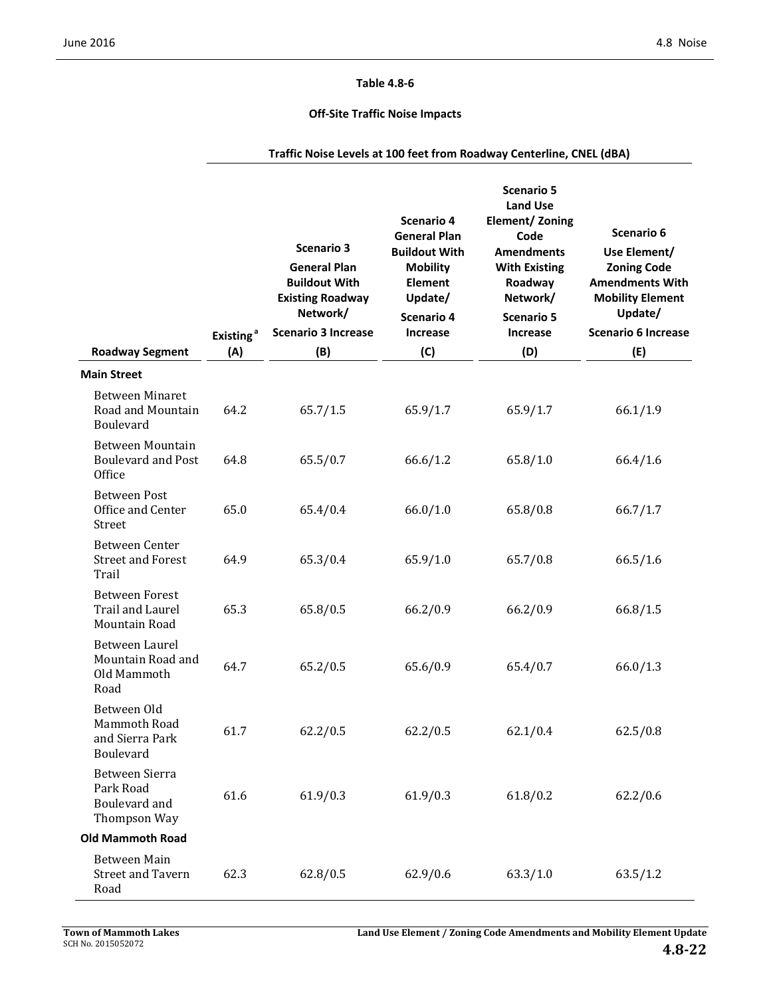#### **Off‐Site Traffic Noise Impacts**

#### **Traffic Noise Levels at 100 feet from Roadway Centerline, CNEL (dBA)**

| <b>Roadway Segment</b>                                              | Existing <sup>a</sup><br>(A) | <b>Scenario 3</b><br><b>General Plan</b><br><b>Buildout With</b><br><b>Existing Roadway</b><br>Network/<br><b>Scenario 3 Increase</b><br>(B) | Scenario 4<br><b>General Plan</b><br><b>Buildout With</b><br><b>Mobility</b><br><b>Element</b><br>Update/<br>Scenario 4<br>Increase<br>(C) | Scenario 5<br><b>Land Use</b><br><b>Element/Zoning</b><br>Code<br><b>Amendments</b><br><b>With Existing</b><br>Roadway<br>Network/<br><b>Scenario 5</b><br><b>Increase</b><br>(D) | Scenario 6<br>Use Element/<br><b>Zoning Code</b><br><b>Amendments With</b><br><b>Mobility Element</b><br>Update/<br><b>Scenario 6 Increase</b><br>(E) |
|---------------------------------------------------------------------|------------------------------|----------------------------------------------------------------------------------------------------------------------------------------------|--------------------------------------------------------------------------------------------------------------------------------------------|-----------------------------------------------------------------------------------------------------------------------------------------------------------------------------------|-------------------------------------------------------------------------------------------------------------------------------------------------------|
| <b>Main Street</b>                                                  |                              |                                                                                                                                              |                                                                                                                                            |                                                                                                                                                                                   |                                                                                                                                                       |
| <b>Between Minaret</b><br>Road and Mountain<br>Boulevard            | 64.2                         | 65.7/1.5                                                                                                                                     | 65.9/1.7                                                                                                                                   | 65.9/1.7                                                                                                                                                                          | 66.1/1.9                                                                                                                                              |
| Between Mountain<br><b>Boulevard and Post</b><br>Office             | 64.8                         | 65.5/0.7                                                                                                                                     | 66.6/1.2                                                                                                                                   | 65.8/1.0                                                                                                                                                                          | 66.4/1.6                                                                                                                                              |
| <b>Between Post</b><br>Office and Center<br>Street                  | 65.0                         | 65.4/0.4                                                                                                                                     | 66.0/1.0                                                                                                                                   | 65.8/0.8                                                                                                                                                                          | 66.7/1.7                                                                                                                                              |
| Between Center<br><b>Street and Forest</b><br>Trail                 | 64.9                         | 65.3/0.4                                                                                                                                     | 65.9/1.0                                                                                                                                   | 65.7/0.8                                                                                                                                                                          | 66.5/1.6                                                                                                                                              |
| <b>Between Forest</b><br><b>Trail and Laurel</b><br>Mountain Road   | 65.3                         | 65.8/0.5                                                                                                                                     | 66.2/0.9                                                                                                                                   | 66.2/0.9                                                                                                                                                                          | 66.8/1.5                                                                                                                                              |
| Between Laurel<br>Mountain Road and<br>Old Mammoth<br>Road          | 64.7                         | 65.2/0.5                                                                                                                                     | 65.6/0.9                                                                                                                                   | 65.4/0.7                                                                                                                                                                          | 66.0/1.3                                                                                                                                              |
| Between Old<br>Mammoth Road<br>and Sierra Park<br>Boulevard         | 61.7                         | 62.2/0.5                                                                                                                                     | 62.2/0.5                                                                                                                                   | 62.1/0.4                                                                                                                                                                          | 62.5/0.8                                                                                                                                              |
| <b>Between Sierra</b><br>Park Road<br>Boulevard and<br>Thompson Way | 61.6                         | 61.9/0.3                                                                                                                                     | 61.9/0.3                                                                                                                                   | 61.8/0.2                                                                                                                                                                          | 62.2/0.6                                                                                                                                              |
| <b>Old Mammoth Road</b>                                             |                              |                                                                                                                                              |                                                                                                                                            |                                                                                                                                                                                   |                                                                                                                                                       |
| Between Main<br><b>Street and Tavern</b><br>Road                    | 62.3                         | 62.8/0.5                                                                                                                                     | 62.9/0.6                                                                                                                                   | 63.3/1.0                                                                                                                                                                          | 63.5/1.2                                                                                                                                              |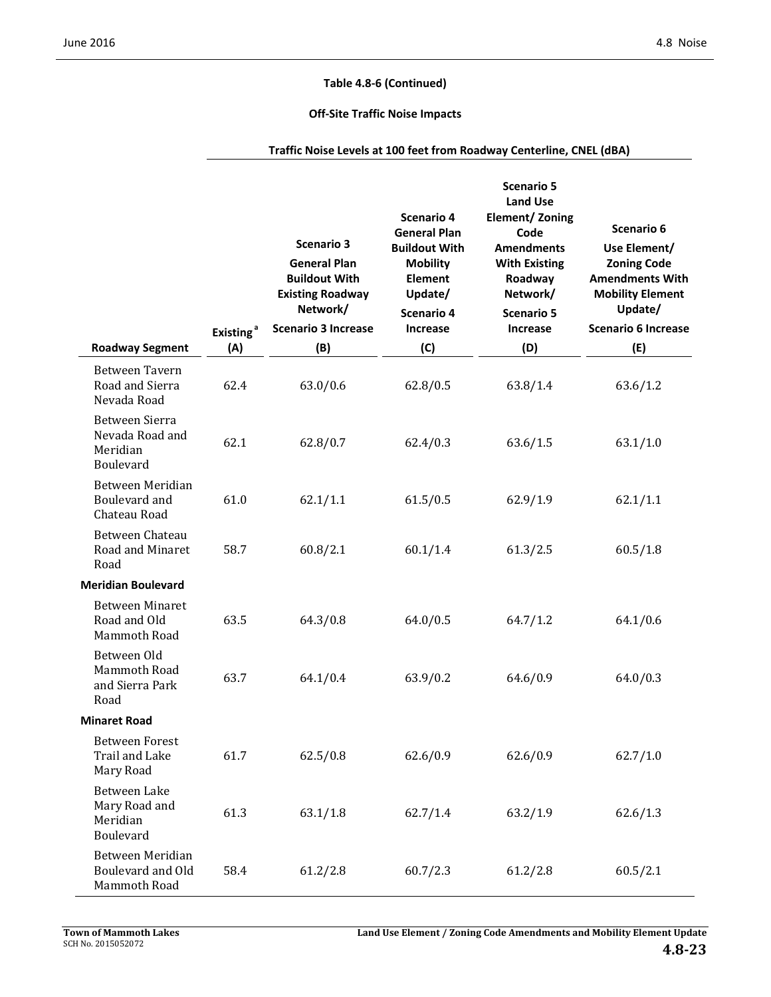#### **Table 4.8‐6 (Continued)**

#### **Off‐Site Traffic Noise Impacts**

#### **Traffic Noise Levels at 100 feet from Roadway Centerline, CNEL (dBA)**

| <b>Roadway Segment</b>                                     | Existing <sup>a</sup><br>(A) | <b>Scenario 3</b><br><b>General Plan</b><br><b>Buildout With</b><br><b>Existing Roadway</b><br>Network/<br><b>Scenario 3 Increase</b><br>(B) | Scenario 4<br><b>General Plan</b><br><b>Buildout With</b><br><b>Mobility</b><br><b>Element</b><br>Update/<br><b>Scenario 4</b><br><b>Increase</b><br>(C) | <b>Scenario 5</b><br><b>Land Use</b><br><b>Element/Zoning</b><br>Code<br><b>Amendments</b><br><b>With Existing</b><br>Roadway<br>Network/<br><b>Scenario 5</b><br>Increase<br>(D) | Scenario 6<br>Use Element/<br><b>Zoning Code</b><br><b>Amendments With</b><br><b>Mobility Element</b><br>Update/<br><b>Scenario 6 Increase</b><br>(E) |
|------------------------------------------------------------|------------------------------|----------------------------------------------------------------------------------------------------------------------------------------------|----------------------------------------------------------------------------------------------------------------------------------------------------------|-----------------------------------------------------------------------------------------------------------------------------------------------------------------------------------|-------------------------------------------------------------------------------------------------------------------------------------------------------|
| Between Tavern<br>Road and Sierra<br>Nevada Road           | 62.4                         | 63.0/0.6                                                                                                                                     | 62.8/0.5                                                                                                                                                 | 63.8/1.4                                                                                                                                                                          | 63.6/1.2                                                                                                                                              |
| Between Sierra<br>Nevada Road and<br>Meridian<br>Boulevard | 62.1                         | 62.8/0.7                                                                                                                                     | 62.4/0.3                                                                                                                                                 | 63.6/1.5                                                                                                                                                                          | 63.1/1.0                                                                                                                                              |
| Between Meridian<br>Boulevard and<br>Chateau Road          | 61.0                         | 62.1/1.1                                                                                                                                     | 61.5/0.5                                                                                                                                                 | 62.9/1.9                                                                                                                                                                          | 62.1/1.1                                                                                                                                              |
| Between Chateau<br>Road and Minaret<br>Road                | 58.7                         | 60.8/2.1                                                                                                                                     | 60.1/1.4                                                                                                                                                 | 61.3/2.5                                                                                                                                                                          | 60.5/1.8                                                                                                                                              |
| <b>Meridian Boulevard</b>                                  |                              |                                                                                                                                              |                                                                                                                                                          |                                                                                                                                                                                   |                                                                                                                                                       |
| <b>Between Minaret</b><br>Road and Old<br>Mammoth Road     | 63.5                         | 64.3/0.8                                                                                                                                     | 64.0/0.5                                                                                                                                                 | 64.7/1.2                                                                                                                                                                          | 64.1/0.6                                                                                                                                              |
| Between Old<br>Mammoth Road<br>and Sierra Park<br>Road     | 63.7                         | 64.1/0.4                                                                                                                                     | 63.9/0.2                                                                                                                                                 | 64.6/0.9                                                                                                                                                                          | 64.0/0.3                                                                                                                                              |
| <b>Minaret Road</b>                                        |                              |                                                                                                                                              |                                                                                                                                                          |                                                                                                                                                                                   |                                                                                                                                                       |
| <b>Between Forest</b><br>Trail and Lake<br>Mary Road       | 61.7                         | 62.5/0.8                                                                                                                                     | 62.6/0.9                                                                                                                                                 | 62.6/0.9                                                                                                                                                                          | 62.7/1.0                                                                                                                                              |
| Between Lake<br>Mary Road and<br>Meridian<br>Boulevard     | 61.3                         | 63.1/1.8                                                                                                                                     | 62.7/1.4                                                                                                                                                 | 63.2/1.9                                                                                                                                                                          | 62.6/1.3                                                                                                                                              |
| Between Meridian<br>Boulevard and Old<br>Mammoth Road      | 58.4                         | 61.2/2.8                                                                                                                                     | 60.7/2.3                                                                                                                                                 | 61.2/2.8                                                                                                                                                                          | 60.5/2.1                                                                                                                                              |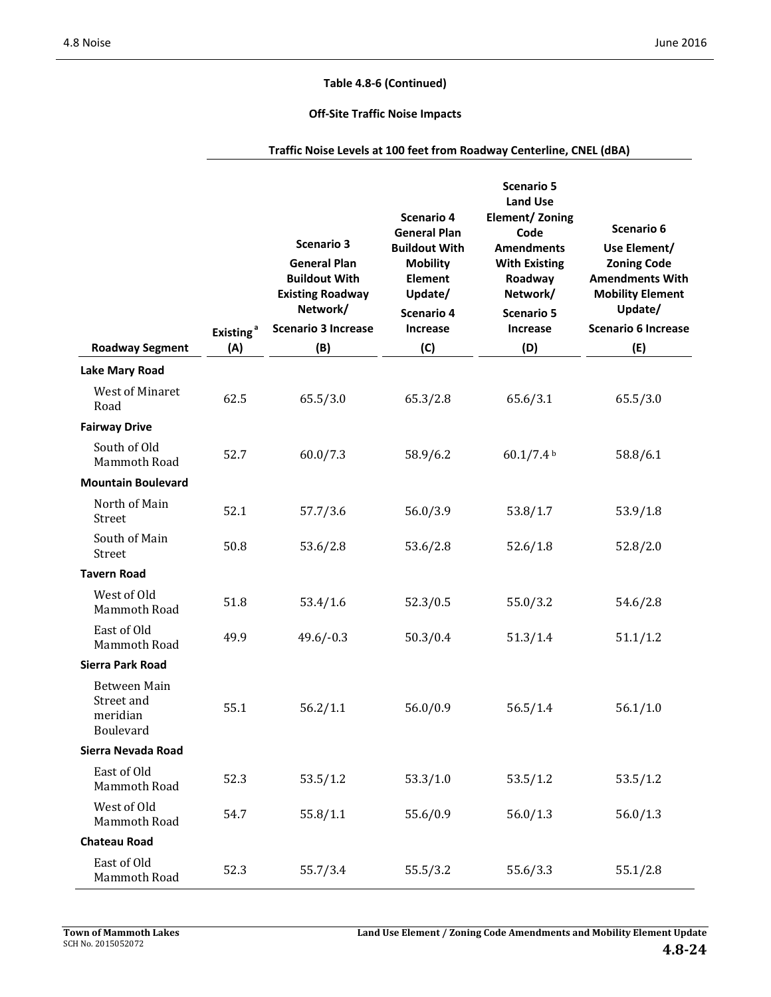#### **Table 4.8‐6 (Continued)**

#### **Off‐Site Traffic Noise Impacts**

#### **Traffic Noise Levels at 100 feet from Roadway Centerline, CNEL (dBA)**

|                                                     | Existing <sup>a</sup> | <b>Scenario 3</b><br><b>General Plan</b><br><b>Buildout With</b><br><b>Existing Roadway</b><br>Network/<br><b>Scenario 3 Increase</b> | Scenario 4<br><b>General Plan</b><br><b>Buildout With</b><br><b>Mobility</b><br><b>Element</b><br>Update/<br><b>Scenario 4</b><br>Increase | <b>Scenario 5</b><br><b>Land Use</b><br><b>Element/Zoning</b><br>Code<br><b>Amendments</b><br><b>With Existing</b><br>Roadway<br>Network/<br><b>Scenario 5</b><br>Increase | Scenario 6<br>Use Element/<br><b>Zoning Code</b><br><b>Amendments With</b><br><b>Mobility Element</b><br>Update/<br><b>Scenario 6 Increase</b> |
|-----------------------------------------------------|-----------------------|---------------------------------------------------------------------------------------------------------------------------------------|--------------------------------------------------------------------------------------------------------------------------------------------|----------------------------------------------------------------------------------------------------------------------------------------------------------------------------|------------------------------------------------------------------------------------------------------------------------------------------------|
| <b>Roadway Segment</b>                              | (A)                   | (B)                                                                                                                                   | (C)                                                                                                                                        | (D)                                                                                                                                                                        | (E)                                                                                                                                            |
| <b>Lake Mary Road</b>                               |                       |                                                                                                                                       |                                                                                                                                            |                                                                                                                                                                            |                                                                                                                                                |
| West of Minaret<br>Road                             | 62.5                  | 65.5/3.0                                                                                                                              | 65.3/2.8                                                                                                                                   | 65.6/3.1                                                                                                                                                                   | 65.5/3.0                                                                                                                                       |
| <b>Fairway Drive</b>                                |                       |                                                                                                                                       |                                                                                                                                            |                                                                                                                                                                            |                                                                                                                                                |
| South of Old<br>Mammoth Road                        | 52.7                  | 60.0/7.3                                                                                                                              | 58.9/6.2                                                                                                                                   | 60.1/7.4 $b$                                                                                                                                                               | 58.8/6.1                                                                                                                                       |
| <b>Mountain Boulevard</b>                           |                       |                                                                                                                                       |                                                                                                                                            |                                                                                                                                                                            |                                                                                                                                                |
| North of Main<br>Street                             | 52.1                  | 57.7/3.6                                                                                                                              | 56.0/3.9                                                                                                                                   | 53.8/1.7                                                                                                                                                                   | 53.9/1.8                                                                                                                                       |
| South of Main<br>Street                             | 50.8                  | 53.6/2.8                                                                                                                              | 53.6/2.8                                                                                                                                   | 52.6/1.8                                                                                                                                                                   | 52.8/2.0                                                                                                                                       |
| <b>Tavern Road</b>                                  |                       |                                                                                                                                       |                                                                                                                                            |                                                                                                                                                                            |                                                                                                                                                |
| West of Old<br>Mammoth Road                         | 51.8                  | 53.4/1.6                                                                                                                              | 52.3/0.5                                                                                                                                   | 55.0/3.2                                                                                                                                                                   | 54.6/2.8                                                                                                                                       |
| East of Old<br>Mammoth Road                         | 49.9                  | $49.6/-0.3$                                                                                                                           | 50.3/0.4                                                                                                                                   | 51.3/1.4                                                                                                                                                                   | 51.1/1.2                                                                                                                                       |
| Sierra Park Road                                    |                       |                                                                                                                                       |                                                                                                                                            |                                                                                                                                                                            |                                                                                                                                                |
| Between Main<br>Street and<br>meridian<br>Boulevard | 55.1                  | 56.2/1.1                                                                                                                              | 56.0/0.9                                                                                                                                   | 56.5/1.4                                                                                                                                                                   | 56.1/1.0                                                                                                                                       |
| Sierra Nevada Road                                  |                       |                                                                                                                                       |                                                                                                                                            |                                                                                                                                                                            |                                                                                                                                                |
| East of Old<br>Mammoth Road                         | 52.3                  | 53.5/1.2                                                                                                                              | 53.3/1.0                                                                                                                                   | 53.5/1.2                                                                                                                                                                   | 53.5/1.2                                                                                                                                       |
| West of Old<br>Mammoth Road                         | 54.7                  | 55.8/1.1                                                                                                                              | 55.6/0.9                                                                                                                                   | 56.0/1.3                                                                                                                                                                   | 56.0/1.3                                                                                                                                       |
| <b>Chateau Road</b>                                 |                       |                                                                                                                                       |                                                                                                                                            |                                                                                                                                                                            |                                                                                                                                                |
| East of Old<br>Mammoth Road                         | 52.3                  | 55.7/3.4                                                                                                                              | 55.5/3.2                                                                                                                                   | 55.6/3.3                                                                                                                                                                   | 55.1/2.8                                                                                                                                       |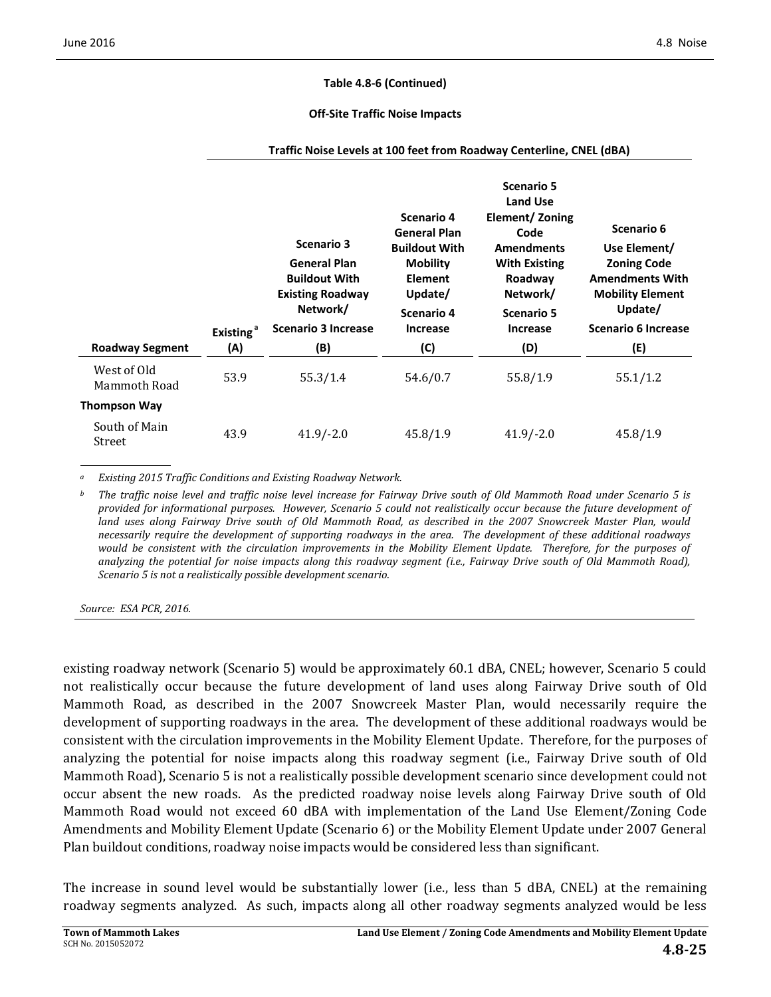### **Table 4.8‐6 (Continued)**

#### **Off‐Site Traffic Noise Impacts**

#### **Traffic Noise Levels at 100 feet from Roadway Centerline, CNEL (dBA)**

|                             | Existing <sup>a</sup> | <b>Scenario 3</b><br><b>General Plan</b><br><b>Buildout With</b><br><b>Existing Roadway</b><br>Network/<br><b>Scenario 3 Increase</b> | Scenario 4<br><b>General Plan</b><br><b>Buildout With</b><br><b>Mobility</b><br><b>Element</b><br>Update/<br>Scenario 4<br><b>Increase</b> | <b>Scenario 5</b><br><b>Land Use</b><br>Element/Zoning<br>Code<br><b>Amendments</b><br><b>With Existing</b><br>Roadway<br>Network/<br><b>Scenario 5</b><br><b>Increase</b> | Scenario 6<br>Use Element/<br><b>Zoning Code</b><br><b>Amendments With</b><br><b>Mobility Element</b><br>Update/<br><b>Scenario 6 Increase</b> |
|-----------------------------|-----------------------|---------------------------------------------------------------------------------------------------------------------------------------|--------------------------------------------------------------------------------------------------------------------------------------------|----------------------------------------------------------------------------------------------------------------------------------------------------------------------------|------------------------------------------------------------------------------------------------------------------------------------------------|
| <b>Roadway Segment</b>      | (A)                   | (B)                                                                                                                                   | (C)                                                                                                                                        | (D)                                                                                                                                                                        | (E)                                                                                                                                            |
| West of Old<br>Mammoth Road | 53.9                  | 55.3/1.4                                                                                                                              | 54.6/0.7                                                                                                                                   | 55.8/1.9                                                                                                                                                                   | 55.1/1.2                                                                                                                                       |
| <b>Thompson Way</b>         |                       |                                                                                                                                       |                                                                                                                                            |                                                                                                                                                                            |                                                                                                                                                |
| South of Main<br>Street     | 43.9                  | $41.9/-2.0$                                                                                                                           | 45.8/1.9                                                                                                                                   | $41.9/-2.0$                                                                                                                                                                | 45.8/1.9                                                                                                                                       |

*<sup>a</sup> Existing 2015 Traffic Conditions and Existing Roadway Network.*

 $b$  The traffic noise level and traffic noise level increase for Fairway Drive south of Old Mammoth Road under Scenario 5 is provided for informational purposes. However, Scenario 5 could not realistically occur because the future development of land uses along Fairway Drive south of Old Mammoth Road, as described in the 2007 Snowcreek Master Plan, would necessarily require the development of supporting roadways in the area. The development of these additional roadways would be consistent with the circulation improvements in the Mobility Element Update. Therefore, for the purposes of analyzing the potential for noise impacts along this roadway segment (i.e., Fairway Drive south of Old Mammoth Road), *Scenario 5 is not a realistically possible development scenario.*

*Source: ESA PCR, 2016.*

 

existing roadway network (Scenario 5) would be approximately 60.1 dBA, CNEL; however, Scenario 5 could not realistically occur because the future development of land uses along Fairway Drive south of Old Mammoth Road, as described in the 2007 Snowcreek Master Plan, would necessarily require the development of supporting roadways in the area. The development of these additional roadways would be consistent with the circulation improvements in the Mobility Element Update. Therefore, for the purposes of analyzing the potential for noise impacts along this roadway segment (i.e., Fairway Drive south of Old Mammoth Road), Scenario 5 is not a realistically possible development scenario since development could not occur absent the new roads. As the predicted roadway noise levels along Fairway Drive south of Old Mammoth Road would not exceed 60 dBA with implementation of the Land Use Element/Zoning Code Amendments and Mobility Element Update (Scenario 6) or the Mobility Element Update under 2007 General Plan buildout conditions, roadway noise impacts would be considered less than significant.

The increase in sound level would be substantially lower (i.e., less than 5 dBA, CNEL) at the remaining roadway segments analyzed. As such, impacts along all other roadway segments analyzed would be less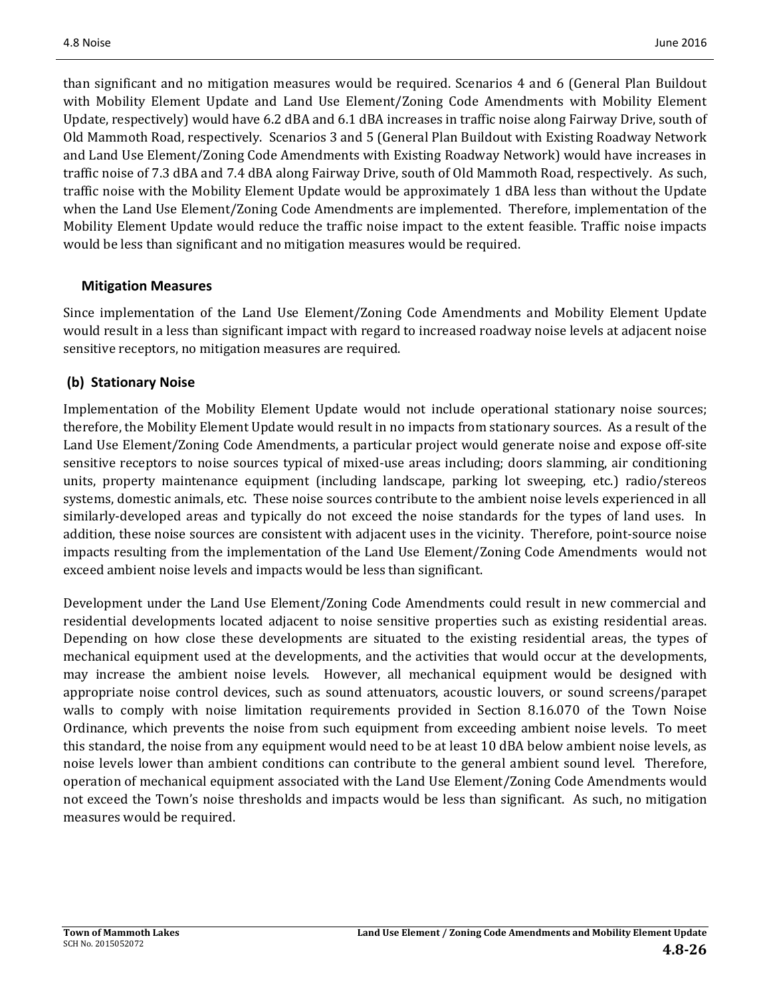than significant and no mitigation measures would be required. Scenarios 4 and 6 (General Plan Buildout with Mobility Element Update and Land Use Element/Zoning Code Amendments with Mobility Element Update, respectively) would have 6.2 dBA and 6.1 dBA increases in traffic noise along Fairway Drive, south of Old Mammoth Road, respectively. Scenarios 3 and 5 (General Plan Buildout with Existing Roadway Network and Land Use Element/Zoning Code Amendments with Existing Roadway Network) would have increases in traffic noise of 7.3 dBA and 7.4 dBA along Fairway Drive, south of Old Mammoth Road, respectively. As such, traffic noise with the Mobility Element Update would be approximately 1 dBA less than without the Update when the Land Use Element/Zoning Code Amendments are implemented. Therefore, implementation of the Mobility Element Update would reduce the traffic noise impact to the extent feasible. Traffic noise impacts would be less than significant and no mitigation measures would be required.

## **Mitigation Measures**

Since implementation of the Land Use Element/Zoning Code Amendments and Mobility Element Update would result in a less than significant impact with regard to increased roadway noise levels at adjacent noise sensitive receptors, no mitigation measures are required.

## **(b) Stationary Noise**

Implementation of the Mobility Element Update would not include operational stationary noise sources; therefore, the Mobility Element Update would result in no impacts from stationary sources. As a result of the Land Use Element/Zoning Code Amendments, a particular project would generate noise and expose off-site sensitive receptors to noise sources typical of mixed-use areas including; doors slamming, air conditioning units, property maintenance equipment (including landscape, parking lot sweeping, etc.) radio/stereos systems, domestic animals, etc. These noise sources contribute to the ambient noise levels experienced in all similarly-developed areas and typically do not exceed the noise standards for the types of land uses. In addition, these noise sources are consistent with adjacent uses in the vicinity. Therefore, point-source noise impacts resulting from the implementation of the Land Use Element/Zoning Code Amendments would not exceed ambient noise levels and impacts would be less than significant.

Development under the Land Use Element/Zoning Code Amendments could result in new commercial and residential developments located adjacent to noise sensitive properties such as existing residential areas. Depending on how close these developments are situated to the existing residential areas, the types of mechanical equipment used at the developments, and the activities that would occur at the developments, may increase the ambient noise levels. However, all mechanical equipment would be designed with appropriate noise control devices, such as sound attenuators, acoustic louvers, or sound screens/parapet walls to comply with noise limitation requirements provided in Section 8.16.070 of the Town Noise Ordinance, which prevents the noise from such equipment from exceeding ambient noise levels. To meet this standard, the noise from any equipment would need to be at least 10 dBA below ambient noise levels, as noise levels lower than ambient conditions can contribute to the general ambient sound level. Therefore, operation of mechanical equipment associated with the Land Use Element/Zoning Code Amendments would not exceed the Town's noise thresholds and impacts would be less than significant. As such, no mitigation measures would be required.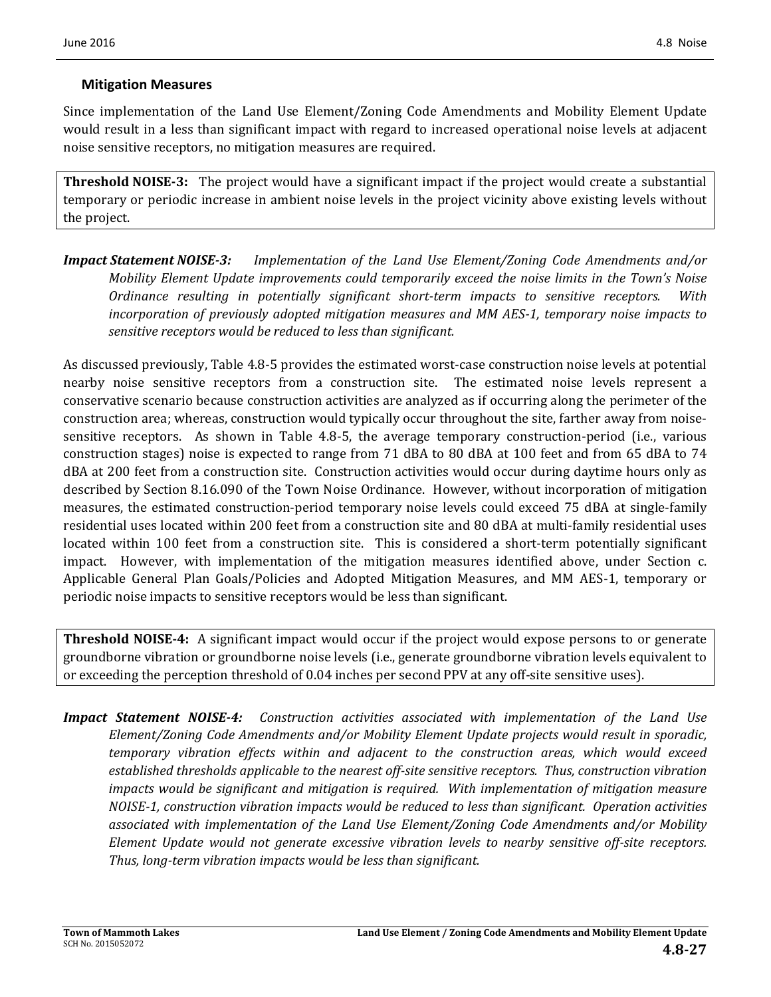### **Mitigation Measures**

Since implementation of the Land Use Element/Zoning Code Amendments and Mobility Element Update would result in a less than significant impact with regard to increased operational noise levels at adjacent noise sensitive receptors, no mitigation measures are required.

**Threshold NOISE-3:** The project would have a significant impact if the project would create a substantial temporary or periodic increase in ambient noise levels in the project vicinity above existing levels without the project.

*Impact Statement NOISE‐3: Implementation of the Land Use Element/Zoning Code Amendments and/or Mobility Element Update improvements could temporarily exceed the noise limits in the Town's Noise Ordinance resulting in potentially significant short‐term impacts to sensitive receptors. With incorporation of previously adopted mitigation measures and MM AES‐1, temporary noise impacts to sensitive receptors would be reduced to less than significant.*

As discussed previously, Table 4.8-5 provides the estimated worst-case construction noise levels at potential nearby noise sensitive receptors from a construction site. The estimated noise levels represent a conservative scenario because construction activities are analyzed as if occurring along the perimeter of the construction area; whereas, construction would typically occur throughout the site, farther away from noisesensitive receptors. As shown in Table 4.8-5, the average temporary construction-period (i.e., various construction stages) noise is expected to range from 71 dBA to 80 dBA at 100 feet and from 65 dBA to 74 dBA at 200 feet from a construction site. Construction activities would occur during daytime hours only as described by Section 8.16.090 of the Town Noise Ordinance. However, without incorporation of mitigation measures, the estimated construction-period temporary noise levels could exceed 75 dBA at single-family residential uses located within 200 feet from a construction site and 80 dBA at multi-family residential uses located within 100 feet from a construction site. This is considered a short-term potentially significant impact. However, with implementation of the mitigation measures identified above, under Section c. Applicable General Plan Goals/Policies and Adopted Mitigation Measures, and MM AES-1, temporary or periodic noise impacts to sensitive receptors would be less than significant.

**Threshold NOISE-4:** A significant impact would occur if the project would expose persons to or generate groundborne vibration or groundborne noise levels (i.e., generate groundborne vibration levels equivalent to or exceeding the perception threshold of 0.04 inches per second PPV at any off-site sensitive uses).

*Impact Statement NOISE‐4: Construction activities associated with implementation of the Land Use Element/Zoning Code Amendments and/or Mobility Element Update projects would result in sporadic, temporary vibration effects within and adjacent to the construction areas, which would exceed established thresholds applicable to the nearest off‐site sensitive receptors. Thus, construction vibration impacts would be significant and mitigation is required. With implementation of mitigation measure NOISE‐1, construction vibration impacts would be reduced to less than significant. Operation activities associated with implementation of the Land Use Element/Zoning Code Amendments and/or Mobility Element Update would not generate excessive vibration levels to nearby sensitive off‐site receptors. Thus, long‐term vibration impacts would be less than significant.*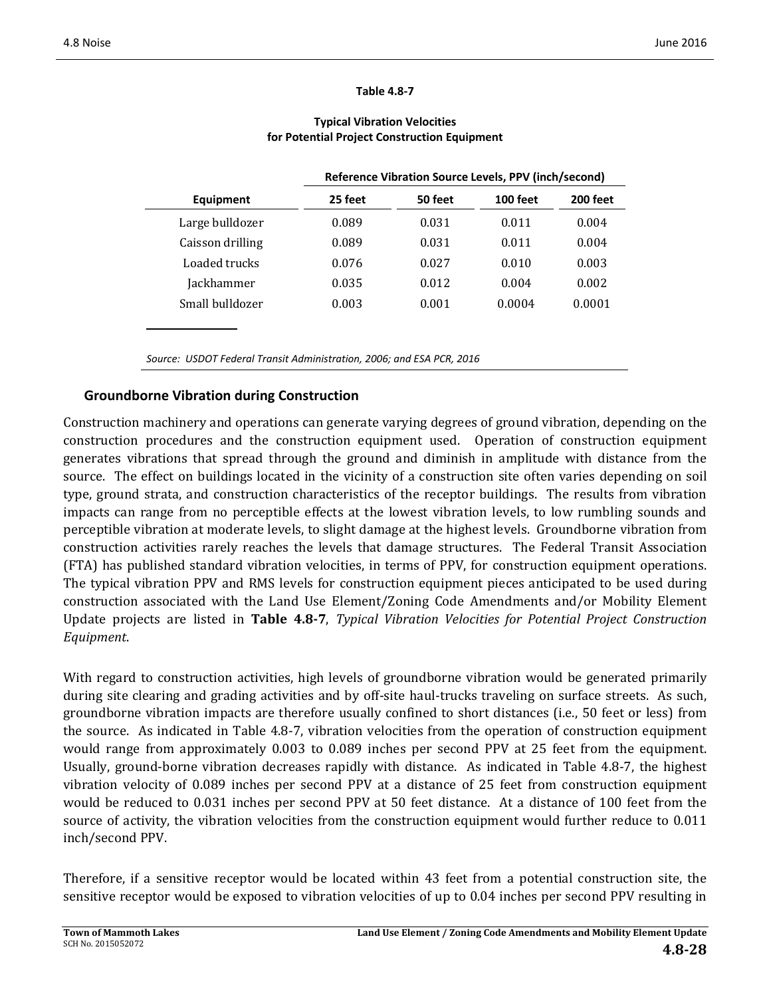|                  | Reference Vibration Source Levels, PPV (inch/second) |         |          |                 |  |
|------------------|------------------------------------------------------|---------|----------|-----------------|--|
| Equipment        | 25 feet                                              | 50 feet | 100 feet | <b>200 feet</b> |  |
| Large bulldozer  | 0.089                                                | 0.031   | 0.011    | 0.004           |  |
| Caisson drilling | 0.089                                                | 0.031   | 0.011    | 0.004           |  |
| Loaded trucks    | 0.076                                                | 0.027   | 0.010    | 0.003           |  |
| Jackhammer       | 0.035                                                | 0.012   | 0.004    | 0.002           |  |
| Small bulldozer  | 0.003                                                | 0.001   | 0.0004   | 0.0001          |  |
|                  |                                                      |         |          |                 |  |

#### **Typical Vibration Velocities for Potential Project Construction Equipment**

*Source: USDOT Federal Transit Administration, 2006; and ESA PCR, 2016*

## **Groundborne Vibration during Construction**

Construction machinery and operations can generate varying degrees of ground vibration, depending on the construction procedures and the construction equipment used. Operation of construction equipment generates vibrations that spread through the ground and diminish in amplitude with distance from the source. The effect on buildings located in the vicinity of a construction site often varies depending on soil type, ground strata, and construction characteristics of the receptor buildings. The results from vibration impacts can range from no perceptible effects at the lowest vibration levels, to low rumbling sounds and perceptible vibration at moderate levels, to slight damage at the highest levels. Groundborne vibration from construction activities rarely reaches the levels that damage structures. The Federal Transit Association (FTA) has published standard vibration velocities, in terms of PPV, for construction equipment operations. The typical vibration PPV and RMS levels for construction equipment pieces anticipated to be used during construction associated with the Land Use Element/Zoning Code Amendments and/or Mobility Element Update projects are listed in **Table 4.8‐7**, *Typical Vibration Velocities for Potential Project Construction Equipment*. 

With regard to construction activities, high levels of groundborne vibration would be generated primarily during site clearing and grading activities and by off-site haul-trucks traveling on surface streets. As such, groundborne vibration impacts are therefore usually confined to short distances (i.e., 50 feet or less) from the source. As indicated in Table 4.8-7, vibration velocities from the operation of construction equipment would range from approximately 0.003 to 0.089 inches per second PPV at 25 feet from the equipment. Usually, ground-borne vibration decreases rapidly with distance. As indicated in Table 4.8-7, the highest vibration velocity of 0.089 inches per second PPV at a distance of 25 feet from construction equipment would be reduced to 0.031 inches per second PPV at 50 feet distance. At a distance of 100 feet from the source of activity, the vibration velocities from the construction equipment would further reduce to 0.011 inch/second PPV.

Therefore, if a sensitive receptor would be located within 43 feet from a potential construction site, the sensitive receptor would be exposed to vibration velocities of up to 0.04 inches per second PPV resulting in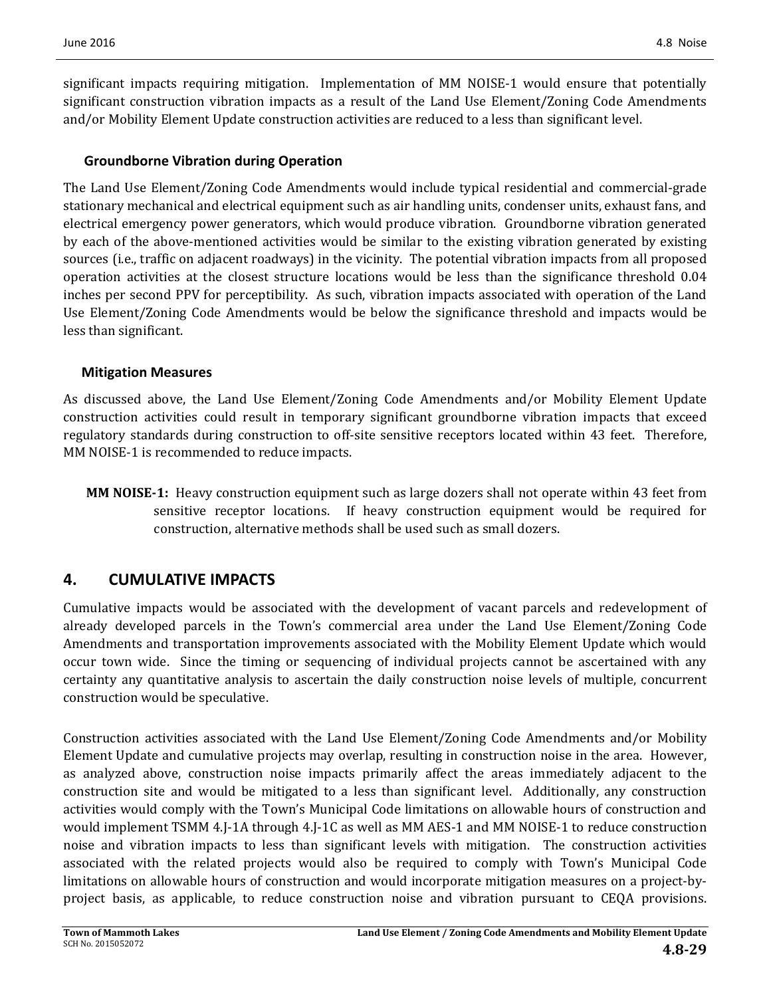significant impacts requiring mitigation. Implementation of MM NOISE-1 would ensure that potentially significant construction vibration impacts as a result of the Land Use Element/Zoning Code Amendments and/or Mobility Element Update construction activities are reduced to a less than significant level.

## **Groundborne Vibration during Operation**

The Land Use Element/Zoning Code Amendments would include typical residential and commercial-grade stationary mechanical and electrical equipment such as air handling units, condenser units, exhaust fans, and electrical emergency power generators, which would produce vibration. Groundborne vibration generated by each of the above-mentioned activities would be similar to the existing vibration generated by existing sources (i.e., traffic on adjacent roadways) in the vicinity. The potential vibration impacts from all proposed operation activities at the closest structure locations would be less than the significance threshold 0.04 inches per second PPV for perceptibility. As such, vibration impacts associated with operation of the Land Use Element/Zoning Code Amendments would be below the significance threshold and impacts would be less than significant.

### **Mitigation Measures**

As discussed above, the Land Use Element/Zoning Code Amendments and/or Mobility Element Update construction activities could result in temporary significant groundborne vibration impacts that exceed regulatory standards during construction to off-site sensitive receptors located within 43 feet. Therefore, MM NOISE-1 is recommended to reduce impacts.

**MM NOISE-1:** Heavy construction equipment such as large dozers shall not operate within 43 feet from sensitive receptor locations. If heavy construction equipment would be required for construction, alternative methods shall be used such as small dozers.

## **4. CUMULATIVE IMPACTS**

Cumulative impacts would be associated with the development of vacant parcels and redevelopment of already developed parcels in the Town's commercial area under the Land Use Element/Zoning Code Amendments and transportation improvements associated with the Mobility Element Update which would occur town wide. Since the timing or sequencing of individual projects cannot be ascertained with any certainty any quantitative analysis to ascertain the daily construction noise levels of multiple, concurrent construction would be speculative.

Construction activities associated with the Land Use Element/Zoning Code Amendments and/or Mobility Element Update and cumulative projects may overlap, resulting in construction noise in the area. However, as analyzed above, construction noise impacts primarily affect the areas immediately adjacent to the construction site and would be mitigated to a less than significant level. Additionally, any construction activities would comply with the Town's Municipal Code limitations on allowable hours of construction and would implement TSMM 4.J-1A through 4.J-1C as well as MM AES-1 and MM NOISE-1 to reduce construction noise and vibration impacts to less than significant levels with mitigation. The construction activities associated with the related projects would also be required to comply with Town's Municipal Code limitations on allowable hours of construction and would incorporate mitigation measures on a project-byproject basis, as applicable, to reduce construction noise and vibration pursuant to CEQA provisions.